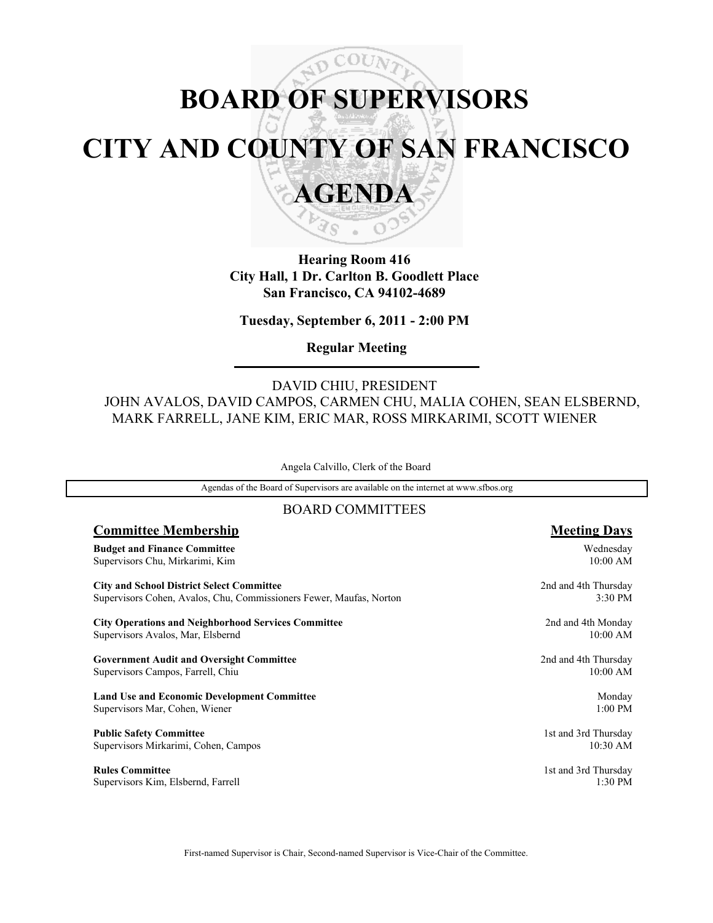# ADCOU **BOARD OF SUPERVISORS CITY AND COUNTY OF SAN FRANCISCO AGENDA**



'S

**Tuesday, September 6, 2011 - 2:00 PM**

**Regular Meeting**

### DAVID CHIU, PRESIDENT JOHN AVALOS, DAVID CAMPOS, CARMEN CHU, MALIA COHEN, SEAN ELSBERND, MARK FARRELL, JANE KIM, ERIC MAR, ROSS MIRKARIMI, SCOTT WIENER

Angela Calvillo, Clerk of the Board

Agendas of the Board of Supervisors are available on the internet at www.sfbos.org

### BOARD COMMITTEES

| <b>Committee Membership</b>                                         | <b>Meeting Days</b>  |
|---------------------------------------------------------------------|----------------------|
| <b>Budget and Finance Committee</b>                                 | Wednesday            |
| Supervisors Chu, Mirkarimi, Kim                                     | 10:00 AM             |
| <b>City and School District Select Committee</b>                    | 2nd and 4th Thursday |
| Supervisors Cohen, Avalos, Chu, Commissioners Fewer, Maufas, Norton | 3:30 PM              |
| <b>City Operations and Neighborhood Services Committee</b>          | 2nd and 4th Monday   |
| Supervisors Avalos, Mar, Elsbernd                                   | 10:00 AM             |
| <b>Government Audit and Oversight Committee</b>                     | 2nd and 4th Thursday |
| Supervisors Campos, Farrell, Chiu                                   | 10:00 AM             |
| <b>Land Use and Economic Development Committee</b>                  | Monday               |
| Supervisors Mar, Cohen, Wiener                                      | 1:00 PM              |
| <b>Public Safety Committee</b>                                      | 1st and 3rd Thursday |
| Supervisors Mirkarimi, Cohen, Campos                                | 10:30 AM             |
| <b>Rules Committee</b>                                              | 1st and 3rd Thursday |
| Supervisors Kim, Elsbernd, Farrell                                  | 1:30 PM              |

First-named Supervisor is Chair, Second-named Supervisor is Vice-Chair of the Committee.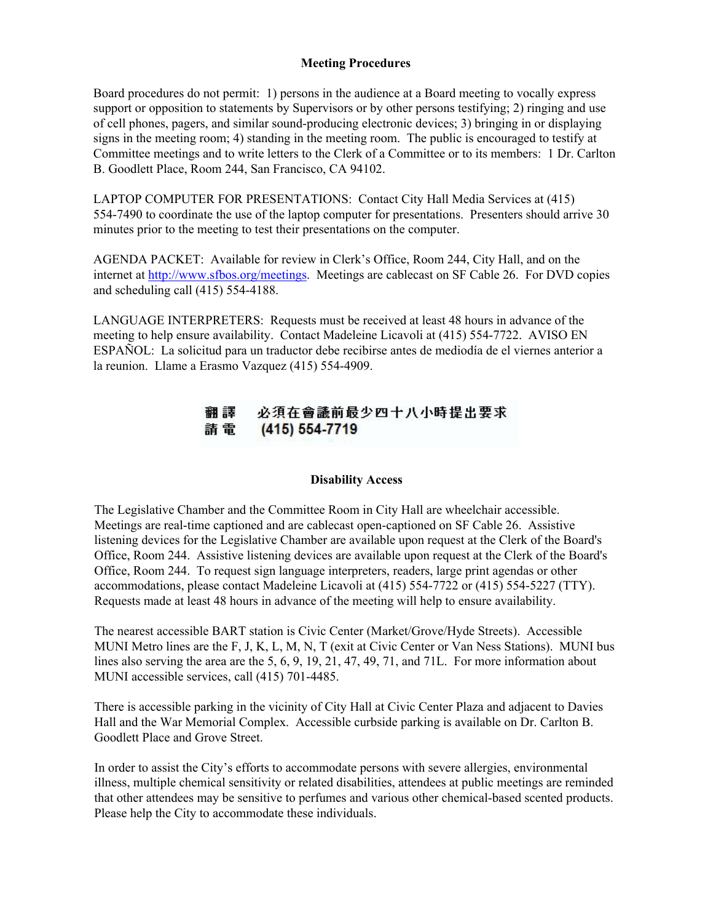#### **Meeting Procedures**

Board procedures do not permit: 1) persons in the audience at a Board meeting to vocally express support or opposition to statements by Supervisors or by other persons testifying; 2) ringing and use of cell phones, pagers, and similar sound-producing electronic devices; 3) bringing in or displaying signs in the meeting room; 4) standing in the meeting room. The public is encouraged to testify at Committee meetings and to write letters to the Clerk of a Committee or to its members: 1 Dr. Carlton B. Goodlett Place, Room 244, San Francisco, CA 94102.

LAPTOP COMPUTER FOR PRESENTATIONS: Contact City Hall Media Services at (415) 554-7490 to coordinate the use of the laptop computer for presentations. Presenters should arrive 30 minutes prior to the meeting to test their presentations on the computer.

AGENDA PACKET: Available for review in Clerk's Office, Room 244, City Hall, and on the internet at http://www.sfbos.org/meetings. Meetings are cablecast on SF Cable 26. For DVD copies and scheduling call (415) 554-4188.

LANGUAGE INTERPRETERS: Requests must be received at least 48 hours in advance of the meeting to help ensure availability. Contact Madeleine Licavoli at (415) 554-7722. AVISO EN ESPAÑOL: La solicitud para un traductor debe recibirse antes de mediodía de el viernes anterior a la reunion. Llame a Erasmo Vazquez (415) 554-4909.

#### 必須在會議前最少四十八小時提出要求 翻譯 請電  $(415) 554 - 7719$

#### **Disability Access**

The Legislative Chamber and the Committee Room in City Hall are wheelchair accessible. Meetings are real-time captioned and are cablecast open-captioned on SF Cable 26. Assistive listening devices for the Legislative Chamber are available upon request at the Clerk of the Board's Office, Room 244. Assistive listening devices are available upon request at the Clerk of the Board's Office, Room 244. To request sign language interpreters, readers, large print agendas or other accommodations, please contact Madeleine Licavoli at (415) 554-7722 or (415) 554-5227 (TTY). Requests made at least 48 hours in advance of the meeting will help to ensure availability.

The nearest accessible BART station is Civic Center (Market/Grove/Hyde Streets). Accessible MUNI Metro lines are the F, J, K, L, M, N, T (exit at Civic Center or Van Ness Stations). MUNI bus lines also serving the area are the 5, 6, 9, 19, 21, 47, 49, 71, and 71L. For more information about MUNI accessible services, call (415) 701-4485.

There is accessible parking in the vicinity of City Hall at Civic Center Plaza and adjacent to Davies Hall and the War Memorial Complex. Accessible curbside parking is available on Dr. Carlton B. Goodlett Place and Grove Street.

In order to assist the City's efforts to accommodate persons with severe allergies, environmental illness, multiple chemical sensitivity or related disabilities, attendees at public meetings are reminded that other attendees may be sensitive to perfumes and various other chemical-based scented products. Please help the City to accommodate these individuals.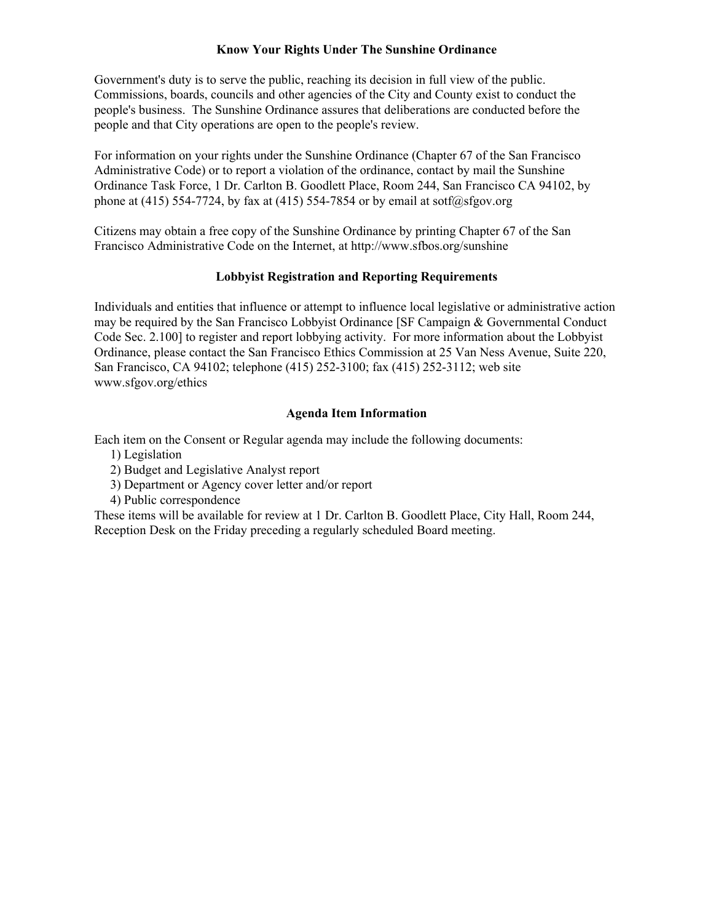### **Know Your Rights Under The Sunshine Ordinance**

Government's duty is to serve the public, reaching its decision in full view of the public. Commissions, boards, councils and other agencies of the City and County exist to conduct the people's business. The Sunshine Ordinance assures that deliberations are conducted before the people and that City operations are open to the people's review.

For information on your rights under the Sunshine Ordinance (Chapter 67 of the San Francisco Administrative Code) or to report a violation of the ordinance, contact by mail the Sunshine Ordinance Task Force, 1 Dr. Carlton B. Goodlett Place, Room 244, San Francisco CA 94102, by phone at (415) 554-7724, by fax at (415) 554-7854 or by email at sotf@sfgov.org

Citizens may obtain a free copy of the Sunshine Ordinance by printing Chapter 67 of the San Francisco Administrative Code on the Internet, at http://www.sfbos.org/sunshine

#### **Lobbyist Registration and Reporting Requirements**

Individuals and entities that influence or attempt to influence local legislative or administrative action may be required by the San Francisco Lobbyist Ordinance [SF Campaign & Governmental Conduct Code Sec. 2.100] to register and report lobbying activity. For more information about the Lobbyist Ordinance, please contact the San Francisco Ethics Commission at 25 Van Ness Avenue, Suite 220, San Francisco, CA 94102; telephone (415) 252-3100; fax (415) 252-3112; web site www.sfgov.org/ethics

### **Agenda Item Information**

Each item on the Consent or Regular agenda may include the following documents:

- 1) Legislation
- 2) Budget and Legislative Analyst report
- 3) Department or Agency cover letter and/or report
- 4) Public correspondence

These items will be available for review at 1 Dr. Carlton B. Goodlett Place, City Hall, Room 244, Reception Desk on the Friday preceding a regularly scheduled Board meeting.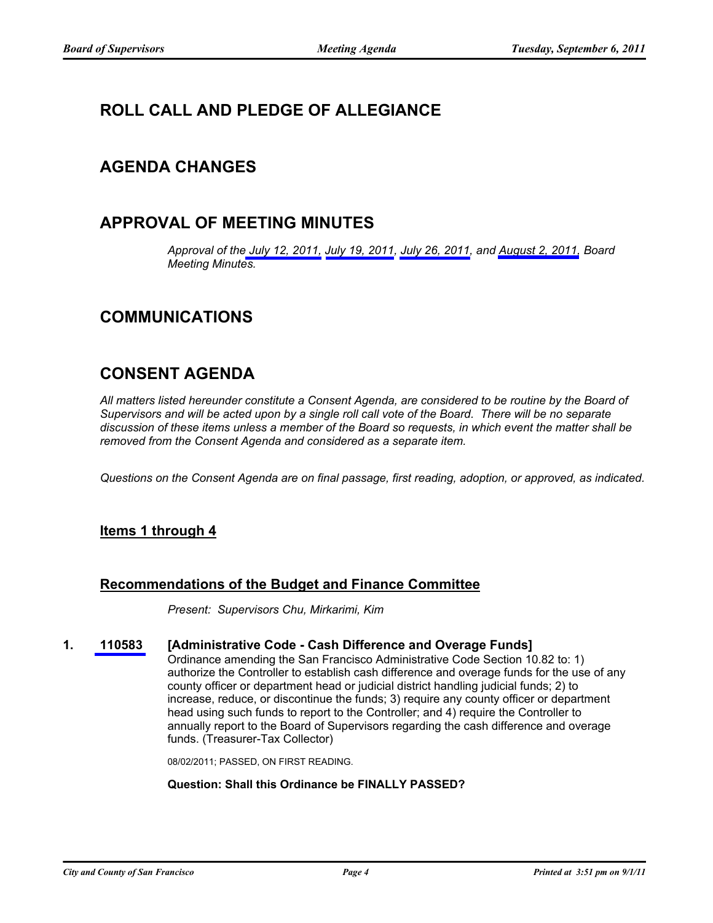# **ROLL CALL AND PLEDGE OF ALLEGIANCE**

## **AGENDA CHANGES**

# **APPROVAL OF MEETING MINUTES**

*Approval of th[e July 12, 2011,](http://www.sfbos.org/ftp/uploadedfiles/bdsupvrs/bosagendas/materials/mins_07-12-11.pdf) [July 19, 2011,](http://www.sfbos.org/ftp/uploadedfiles/bdsupvrs/bosagendas/materials/mins_07-19-11.pdf) [July 26, 2011,](http://www.sfbos.org/ftp/uploadedfiles/bdsupvrs/bosagendas/materials/mins_07-26-11.pdf) and [August 2, 2011,](http://www.sfbos.org/ftp/uploadedfiles/bdsupvrs/bosagendas/materials/mins_08-02-11.pdf) Board Meeting Minutes.*

# **COMMUNICATIONS**

# **CONSENT AGENDA**

*All matters listed hereunder constitute a Consent Agenda, are considered to be routine by the Board of Supervisors and will be acted upon by a single roll call vote of the Board. There will be no separate discussion of these items unless a member of the Board so requests, in which event the matter shall be removed from the Consent Agenda and considered as a separate item.*

*Questions on the Consent Agenda are on final passage, first reading, adoption, or approved, as indicated.*

### **Items 1 through 4**

### **Recommendations of the Budget and Finance Committee**

*Present: Supervisors Chu, Mirkarimi, Kim*

### **1. [110583](http://www.sfbos.org/ftp/uploadedfiles/bdsupvrs/bosagendas/materials/bag090611_110583.pdf) [Administrative Code - Cash Difference and Overage Funds]**

Ordinance amending the San Francisco Administrative Code Section 10.82 to: 1) authorize the Controller to establish cash difference and overage funds for the use of any county officer or department head or judicial district handling judicial funds; 2) to increase, reduce, or discontinue the funds; 3) require any county officer or department head using such funds to report to the Controller; and 4) require the Controller to annually report to the Board of Supervisors regarding the cash difference and overage funds. (Treasurer-Tax Collector)

08/02/2011; PASSED, ON FIRST READING.

#### **Question: Shall this Ordinance be FINALLY PASSED?**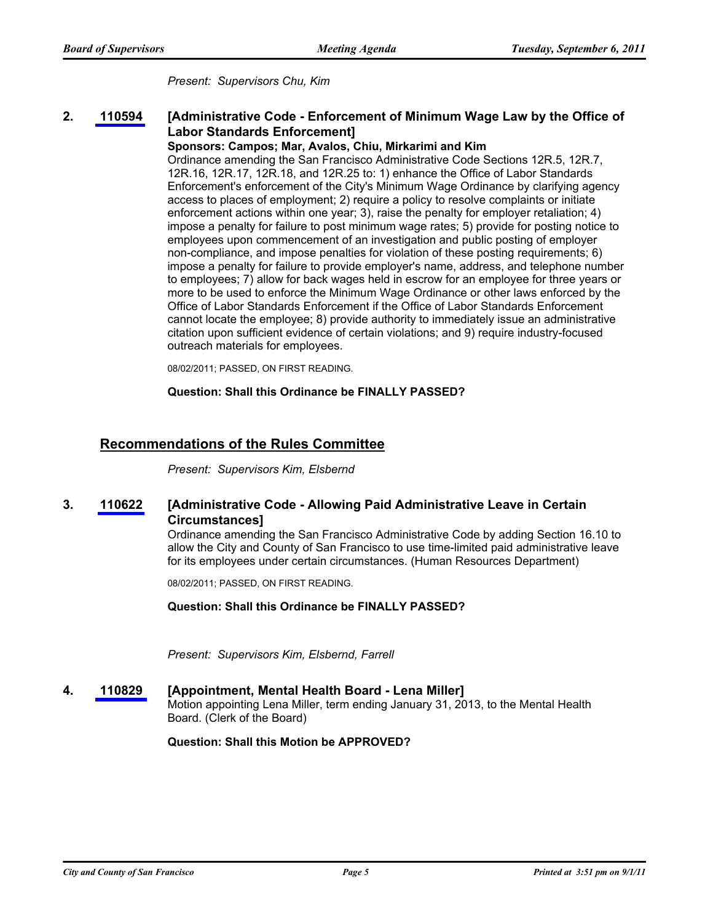*Present: Supervisors Chu, Kim*

#### **[Administrative Code - Enforcement of Minimum Wage Law by the Office of Labor Standards Enforcement] 2. [110594](http://www.sfbos.org/ftp/uploadedfiles/bdsupvrs/bosagendas/materials/bag090611_110594.pdf)**

#### **Sponsors: Campos; Mar, Avalos, Chiu, Mirkarimi and Kim**

Ordinance amending the San Francisco Administrative Code Sections 12R.5, 12R.7, 12R.16, 12R.17, 12R.18, and 12R.25 to: 1) enhance the Office of Labor Standards Enforcement's enforcement of the City's Minimum Wage Ordinance by clarifying agency access to places of employment; 2) require a policy to resolve complaints or initiate enforcement actions within one year; 3), raise the penalty for employer retaliation; 4) impose a penalty for failure to post minimum wage rates; 5) provide for posting notice to employees upon commencement of an investigation and public posting of employer non-compliance, and impose penalties for violation of these posting requirements; 6) impose a penalty for failure to provide employer's name, address, and telephone number to employees; 7) allow for back wages held in escrow for an employee for three years or more to be used to enforce the Minimum Wage Ordinance or other laws enforced by the Office of Labor Standards Enforcement if the Office of Labor Standards Enforcement cannot locate the employee; 8) provide authority to immediately issue an administrative citation upon sufficient evidence of certain violations; and 9) require industry-focused outreach materials for employees.

08/02/2011; PASSED, ON FIRST READING.

**Question: Shall this Ordinance be FINALLY PASSED?**

### **Recommendations of the Rules Committee**

*Present: Supervisors Kim, Elsbernd*

#### **[Administrative Code - Allowing Paid Administrative Leave in Certain Circumstances] 3. [110622](http://www.sfbos.org/ftp/uploadedfiles/bdsupvrs/bosagendas/materials/bag090611_110622.pdf)**

Ordinance amending the San Francisco Administrative Code by adding Section 16.10 to allow the City and County of San Francisco to use time-limited paid administrative leave for its employees under certain circumstances. (Human Resources Department)

08/02/2011; PASSED, ON FIRST READING.

**Question: Shall this Ordinance be FINALLY PASSED?**

*Present: Supervisors Kim, Elsbernd, Farrell*

#### **4. [110829](http://www.sfbos.org/ftp/uploadedfiles/bdsupvrs/bosagendas/materials/bag090611_110829.pdf) [Appointment, Mental Health Board - Lena Miller]** Motion appointing Lena Miller, term ending January 31, 2013, to the Mental Health Board. (Clerk of the Board)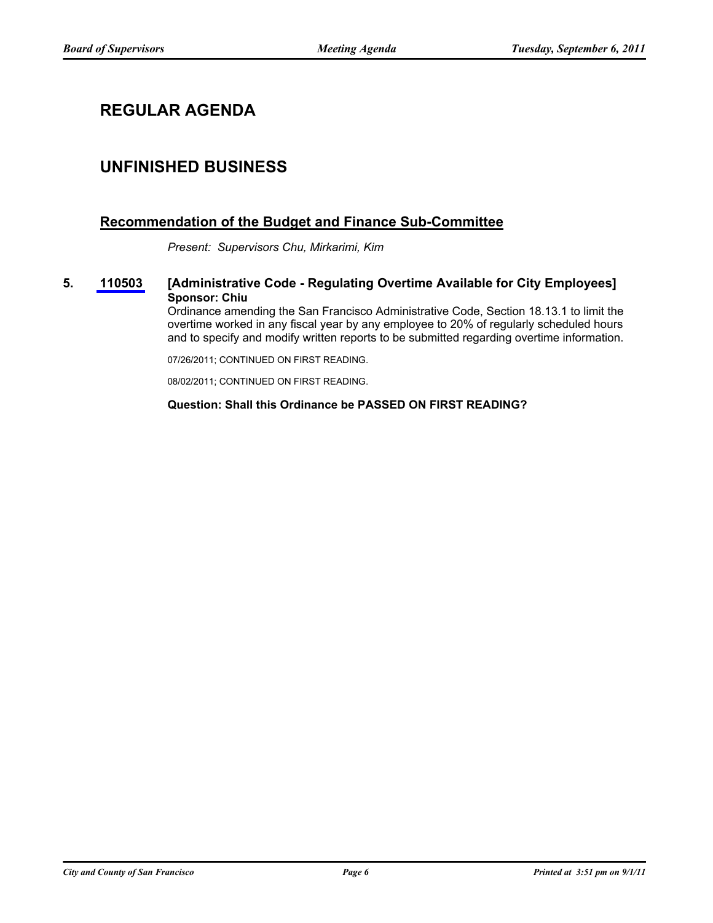# **REGULAR AGENDA**

# **UNFINISHED BUSINESS**

### **Recommendation of the Budget and Finance Sub-Committee**

*Present: Supervisors Chu, Mirkarimi, Kim*

**5. [110503](http://www.sfbos.org/ftp/uploadedfiles/bdsupvrs/bosagendas/materials/bag090611_110503.pdf) [Administrative Code - Regulating Overtime Available for City Employees] Sponsor: Chiu**

> Ordinance amending the San Francisco Administrative Code, Section 18.13.1 to limit the overtime worked in any fiscal year by any employee to 20% of regularly scheduled hours and to specify and modify written reports to be submitted regarding overtime information.

07/26/2011; CONTINUED ON FIRST READING.

08/02/2011; CONTINUED ON FIRST READING.

#### **Question: Shall this Ordinance be PASSED ON FIRST READING?**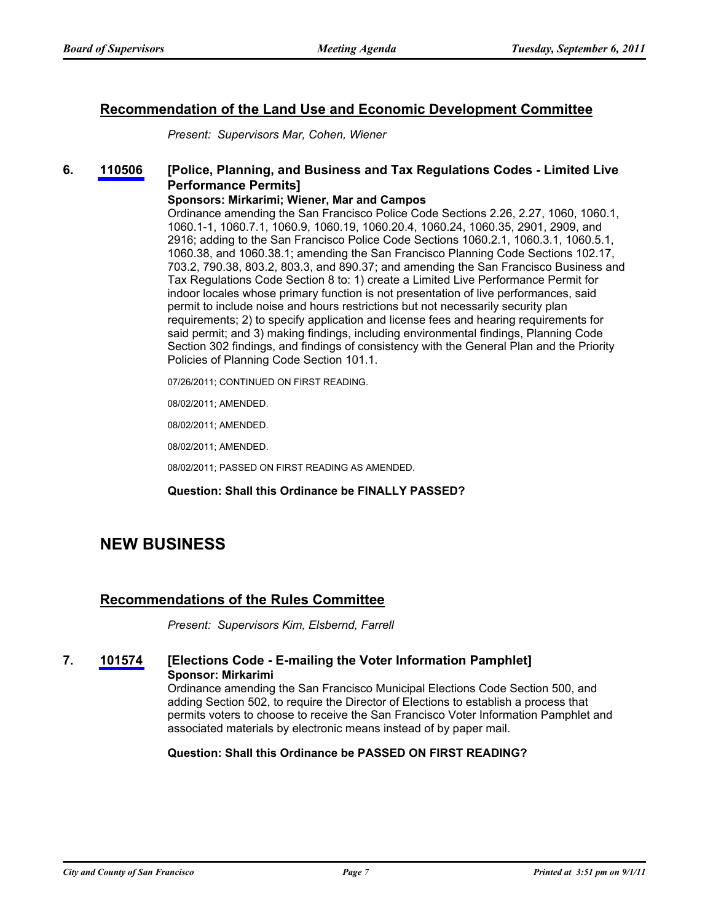### **Recommendation of the Land Use and Economic Development Committee**

*Present: Supervisors Mar, Cohen, Wiener*

#### **[Police, Planning, and Business and Tax Regulations Codes - Limited Live Performance Permits] 6. [110506](http://www.sfbos.org/ftp/uploadedfiles/bdsupvrs/bosagendas/materials/bag090611_110506.pdf)**

#### **Sponsors: Mirkarimi; Wiener, Mar and Campos**

Ordinance amending the San Francisco Police Code Sections 2.26, 2.27, 1060, 1060.1, 1060.1-1, 1060.7.1, 1060.9, 1060.19, 1060.20.4, 1060.24, 1060.35, 2901, 2909, and 2916; adding to the San Francisco Police Code Sections 1060.2.1, 1060.3.1, 1060.5.1, 1060.38, and 1060.38.1; amending the San Francisco Planning Code Sections 102.17, 703.2, 790.38, 803.2, 803.3, and 890.37; and amending the San Francisco Business and Tax Regulations Code Section 8 to: 1) create a Limited Live Performance Permit for indoor locales whose primary function is not presentation of live performances, said permit to include noise and hours restrictions but not necessarily security plan requirements; 2) to specify application and license fees and hearing requirements for said permit; and 3) making findings, including environmental findings, Planning Code Section 302 findings, and findings of consistency with the General Plan and the Priority Policies of Planning Code Section 101.1.

07/26/2011; CONTINUED ON FIRST READING.

08/02/2011; AMENDED.

08/02/2011; AMENDED.

08/02/2011; AMENDED.

08/02/2011; PASSED ON FIRST READING AS AMENDED.

#### **Question: Shall this Ordinance be FINALLY PASSED?**

# **NEW BUSINESS**

### **Recommendations of the Rules Committee**

*Present: Supervisors Kim, Elsbernd, Farrell*

### **7. [101574](http://www.sfbos.org/ftp/uploadedfiles/bdsupvrs/bosagendas/materials/bag090611_101574.pdf) [Elections Code - E-mailing the Voter Information Pamphlet] Sponsor: Mirkarimi**

Ordinance amending the San Francisco Municipal Elections Code Section 500, and adding Section 502, to require the Director of Elections to establish a process that permits voters to choose to receive the San Francisco Voter Information Pamphlet and associated materials by electronic means instead of by paper mail.

#### **Question: Shall this Ordinance be PASSED ON FIRST READING?**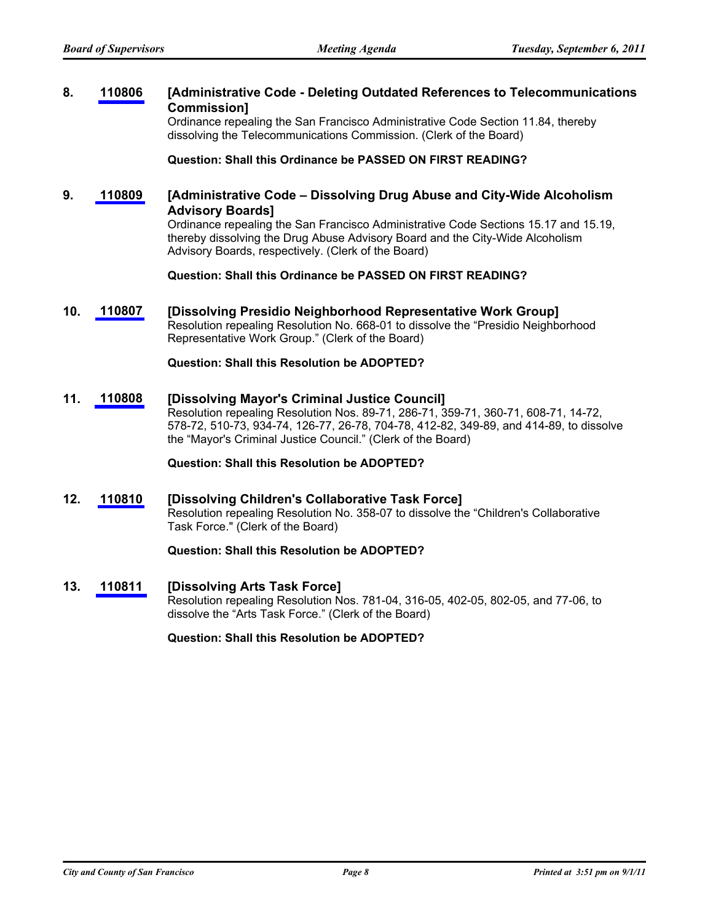#### **[Administrative Code - Deleting Outdated References to Telecommunications Commission] 8. [110806](http://www.sfbos.org/ftp/uploadedfiles/bdsupvrs/bosagendas/materials/bag090611_110806.pdf)**

Ordinance repealing the San Francisco Administrative Code Section 11.84, thereby dissolving the Telecommunications Commission. (Clerk of the Board)

**Question: Shall this Ordinance be PASSED ON FIRST READING?**

#### **[Administrative Code – Dissolving Drug Abuse and City-Wide Alcoholism Advisory Boards] 9. [110809](http://www.sfbos.org/ftp/uploadedfiles/bdsupvrs/bosagendas/materials/bag090611_110809.pdf)**

Ordinance repealing the San Francisco Administrative Code Sections 15.17 and 15.19, thereby dissolving the Drug Abuse Advisory Board and the City-Wide Alcoholism Advisory Boards, respectively. (Clerk of the Board)

**Question: Shall this Ordinance be PASSED ON FIRST READING?**

**10. [110807](http://www.sfbos.org/ftp/uploadedfiles/bdsupvrs/bosagendas/materials/bag090611_110807.pdf) [Dissolving Presidio Neighborhood Representative Work Group]** Resolution repealing Resolution No. 668-01 to dissolve the "Presidio Neighborhood Representative Work Group." (Clerk of the Board)

**Question: Shall this Resolution be ADOPTED?**

### **11. [110808](http://www.sfbos.org/ftp/uploadedfiles/bdsupvrs/bosagendas/materials/bag090611_110808.pdf) [Dissolving Mayor's Criminal Justice Council]**

Resolution repealing Resolution Nos. 89-71, 286-71, 359-71, 360-71, 608-71, 14-72, 578-72, 510-73, 934-74, 126-77, 26-78, 704-78, 412-82, 349-89, and 414-89, to dissolve the "Mayor's Criminal Justice Council." (Clerk of the Board)

**Question: Shall this Resolution be ADOPTED?**

#### **12. [110810](http://www.sfbos.org/ftp/uploadedfiles/bdsupvrs/bosagendas/materials/bag090611_110810.pdf) [Dissolving Children's Collaborative Task Force]** Resolution repealing Resolution No. 358-07 to dissolve the "Children's Collaborative Task Force." (Clerk of the Board)

**Question: Shall this Resolution be ADOPTED?**

**13. [110811](http://www.sfbos.org/ftp/uploadedfiles/bdsupvrs/bosagendas/materials/bag090611_110811.pdf) [Dissolving Arts Task Force]**

Resolution repealing Resolution Nos. 781-04, 316-05, 402-05, 802-05, and 77-06, to dissolve the "Arts Task Force." (Clerk of the Board)

**Question: Shall this Resolution be ADOPTED?**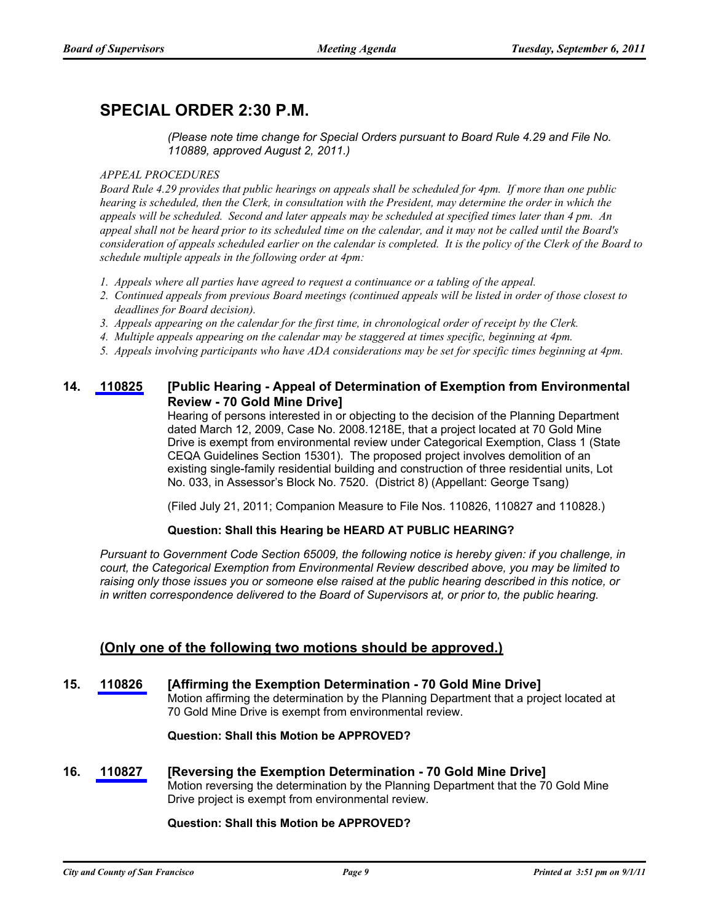# **SPECIAL ORDER 2:30 P.M.**

*(Please note time change for Special Orders pursuant to Board Rule 4.29 and File No. 110889, approved August 2, 2011.)*

#### *APPEAL PROCEDURES*

*Board Rule 4.29 provides that public hearings on appeals shall be scheduled for 4pm. If more than one public hearing is scheduled, then the Clerk, in consultation with the President, may determine the order in which the appeals will be scheduled. Second and later appeals may be scheduled at specified times later than 4 pm. An appeal shall not be heard prior to its scheduled time on the calendar, and it may not be called until the Board's consideration of appeals scheduled earlier on the calendar is completed. It is the policy of the Clerk of the Board to schedule multiple appeals in the following order at 4pm:*

- *1. Appeals where all parties have agreed to request a continuance or a tabling of the appeal.*
- *2. Continued appeals from previous Board meetings (continued appeals will be listed in order of those closest to deadlines for Board decision).*
- *3. Appeals appearing on the calendar for the first time, in chronological order of receipt by the Clerk.*
- *4. Multiple appeals appearing on the calendar may be staggered at times specific, beginning at 4pm.*
- *5. Appeals involving participants who have ADA considerations may be set for specific times beginning at 4pm.*

#### **[Public Hearing - Appeal of Determination of Exemption from Environmental Review - 70 Gold Mine Drive] 14. [110825](http://www.sfbos.org/ftp/uploadedfiles/bdsupvrs/bosagendas/materials/bag090611_110825.pdf)**

Hearing of persons interested in or objecting to the decision of the Planning Department dated March 12, 2009, Case No. 2008.1218E, that a project located at 70 Gold Mine Drive is exempt from environmental review under Categorical Exemption, Class 1 (State CEQA Guidelines Section 15301). The proposed project involves demolition of an existing single-family residential building and construction of three residential units, Lot No. 033, in Assessor's Block No. 7520. (District 8) (Appellant: George Tsang)

(Filed July 21, 2011; Companion Measure to File Nos. 110826, 110827 and 110828.)

#### **Question: Shall this Hearing be HEARD AT PUBLIC HEARING?**

*Pursuant to Government Code Section 65009, the following notice is hereby given: if you challenge, in court, the Categorical Exemption from Environmental Review described above, you may be limited to raising only those issues you or someone else raised at the public hearing described in this notice, or in written correspondence delivered to the Board of Supervisors at, or prior to, the public hearing.*

### **(Only one of the following two motions should be approved.)**

**15. [110826](http://www.sfbos.org/ftp/uploadedfiles/bdsupvrs/bosagendas/materials/bag090611_110826.pdf) [Affirming the Exemption Determination - 70 Gold Mine Drive]** Motion affirming the determination by the Planning Department that a project located at 70 Gold Mine Drive is exempt from environmental review.

#### **Question: Shall this Motion be APPROVED?**

**16. [110827](http://www.sfbos.org/ftp/uploadedfiles/bdsupvrs/bosagendas/materials/bag090611_110827.pdf) [Reversing the Exemption Determination - 70 Gold Mine Drive]** Motion reversing the determination by the Planning Department that the 70 Gold Mine Drive project is exempt from environmental review.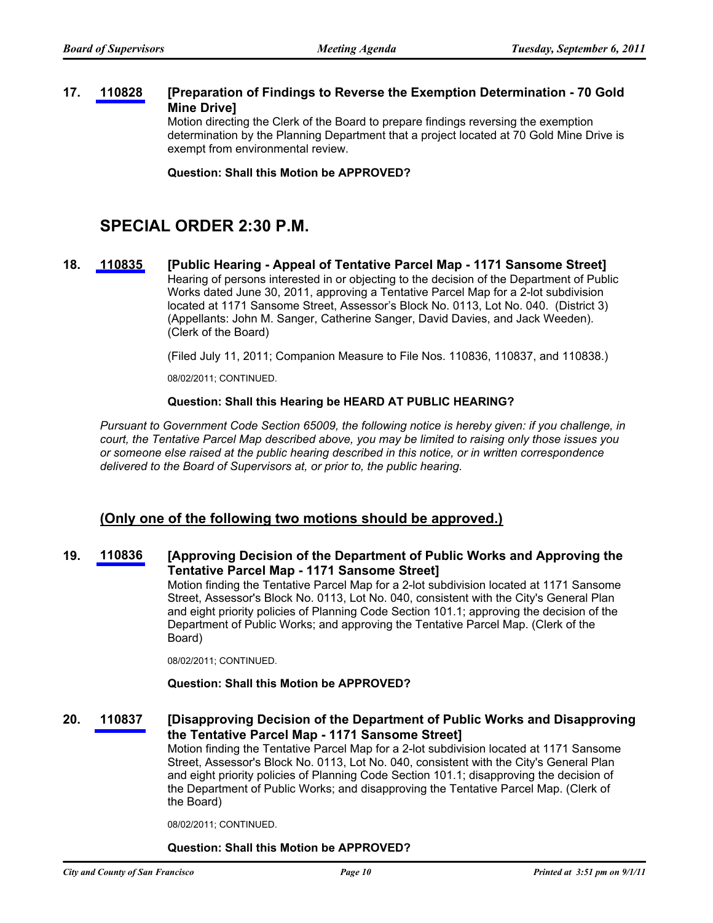#### **[Preparation of Findings to Reverse the Exemption Determination - 70 Gold Mine Drive] 17. [110828](http://www.sfbos.org/ftp/uploadedfiles/bdsupvrs/bosagendas/materials/bag090611_110828.pdf)**

Motion directing the Clerk of the Board to prepare findings reversing the exemption determination by the Planning Department that a project located at 70 Gold Mine Drive is exempt from environmental review.

**Question: Shall this Motion be APPROVED?**

# **SPECIAL ORDER 2:30 P.M.**

**18. [110835](http://www.sfbos.org/ftp/uploadedfiles/bdsupvrs/bosagendas/materials/bag090611_110835.pdf) [Public Hearing - Appeal of Tentative Parcel Map - 1171 Sansome Street]** Hearing of persons interested in or objecting to the decision of the Department of Public Works dated June 30, 2011, approving a Tentative Parcel Map for a 2-lot subdivision located at 1171 Sansome Street, Assessor's Block No. 0113, Lot No. 040. (District 3) (Appellants: John M. Sanger, Catherine Sanger, David Davies, and Jack Weeden). (Clerk of the Board)

(Filed July 11, 2011; Companion Measure to File Nos. 110836, 110837, and 110838.)

08/02/2011; CONTINUED.

#### **Question: Shall this Hearing be HEARD AT PUBLIC HEARING?**

*Pursuant to Government Code Section 65009, the following notice is hereby given: if you challenge, in court, the Tentative Parcel Map described above, you may be limited to raising only those issues you or someone else raised at the public hearing described in this notice, or in written correspondence delivered to the Board of Supervisors at, or prior to, the public hearing.*

### **(Only one of the following two motions should be approved.)**

#### **[Approving Decision of the Department of Public Works and Approving the Tentative Parcel Map - 1171 Sansome Street] 19. [110836](http://www.sfbos.org/ftp/uploadedfiles/bdsupvrs/bosagendas/materials/bag090611_110836.pdf)**

Motion finding the Tentative Parcel Map for a 2-lot subdivision located at 1171 Sansome Street, Assessor's Block No. 0113, Lot No. 040, consistent with the City's General Plan and eight priority policies of Planning Code Section 101.1; approving the decision of the Department of Public Works; and approving the Tentative Parcel Map. (Clerk of the Board)

08/02/2011; CONTINUED.

#### **Question: Shall this Motion be APPROVED?**

#### **[Disapproving Decision of the Department of Public Works and Disapproving the Tentative Parcel Map - 1171 Sansome Street] 20. [110837](http://www.sfbos.org/ftp/uploadedfiles/bdsupvrs/bosagendas/materials/bag090611_110837.pdf)**

Motion finding the Tentative Parcel Map for a 2-lot subdivision located at 1171 Sansome Street, Assessor's Block No. 0113, Lot No. 040, consistent with the City's General Plan and eight priority policies of Planning Code Section 101.1; disapproving the decision of the Department of Public Works; and disapproving the Tentative Parcel Map. (Clerk of the Board)

08/02/2011; CONTINUED.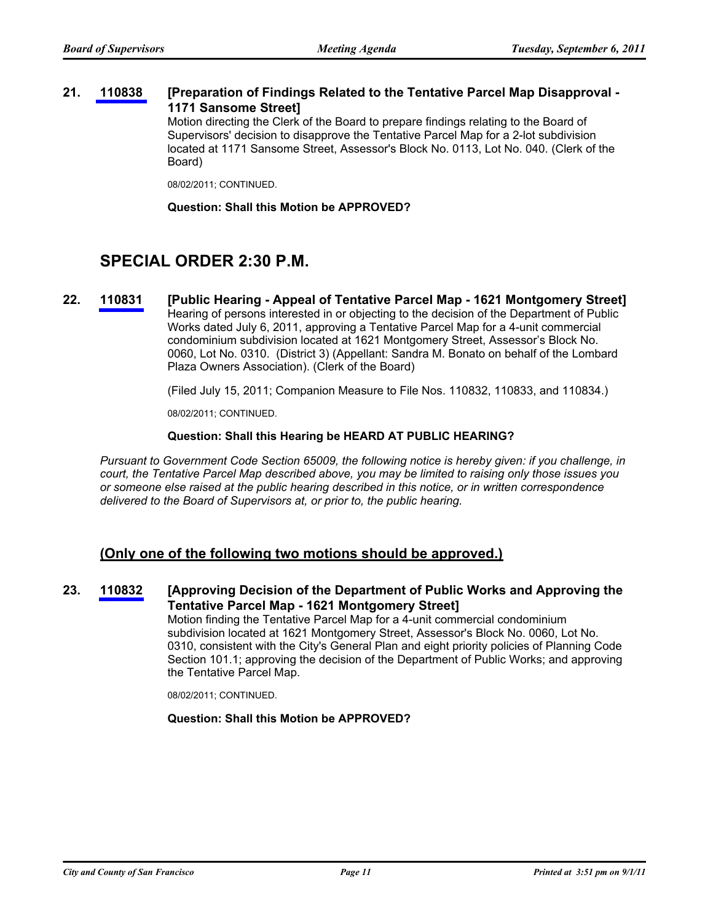#### **[Preparation of Findings Related to the Tentative Parcel Map Disapproval - 1171 Sansome Street] 21. [110838](http://www.sfbos.org/ftp/uploadedfiles/bdsupvrs/bosagendas/materials/bag090611_110838.pdf)**

Motion directing the Clerk of the Board to prepare findings relating to the Board of Supervisors' decision to disapprove the Tentative Parcel Map for a 2-lot subdivision located at 1171 Sansome Street, Assessor's Block No. 0113, Lot No. 040. (Clerk of the Board)

08/02/2011; CONTINUED.

**Question: Shall this Motion be APPROVED?**

# **SPECIAL ORDER 2:30 P.M.**

**22. [110831](http://www.sfbos.org/ftp/uploadedfiles/bdsupvrs/bosagendas/materials/bag090611_110831.pdf) [Public Hearing - Appeal of Tentative Parcel Map - 1621 Montgomery Street]** Hearing of persons interested in or objecting to the decision of the Department of Public Works dated July 6, 2011, approving a Tentative Parcel Map for a 4-unit commercial condominium subdivision located at 1621 Montgomery Street, Assessor's Block No. 0060, Lot No. 0310. (District 3) (Appellant: Sandra M. Bonato on behalf of the Lombard Plaza Owners Association). (Clerk of the Board)

(Filed July 15, 2011; Companion Measure to File Nos. 110832, 110833, and 110834.)

08/02/2011; CONTINUED.

#### **Question: Shall this Hearing be HEARD AT PUBLIC HEARING?**

*Pursuant to Government Code Section 65009, the following notice is hereby given: if you challenge, in court, the Tentative Parcel Map described above, you may be limited to raising only those issues you or someone else raised at the public hearing described in this notice, or in written correspondence delivered to the Board of Supervisors at, or prior to, the public hearing.*

### **(Only one of the following two motions should be approved.)**

#### **[Approving Decision of the Department of Public Works and Approving the Tentative Parcel Map - 1621 Montgomery Street] 23. [110832](http://www.sfbos.org/ftp/uploadedfiles/bdsupvrs/bosagendas/materials/bag090611_110832.pdf)**

Motion finding the Tentative Parcel Map for a 4-unit commercial condominium subdivision located at 1621 Montgomery Street, Assessor's Block No. 0060, Lot No. 0310, consistent with the City's General Plan and eight priority policies of Planning Code Section 101.1; approving the decision of the Department of Public Works; and approving the Tentative Parcel Map.

08/02/2011; CONTINUED.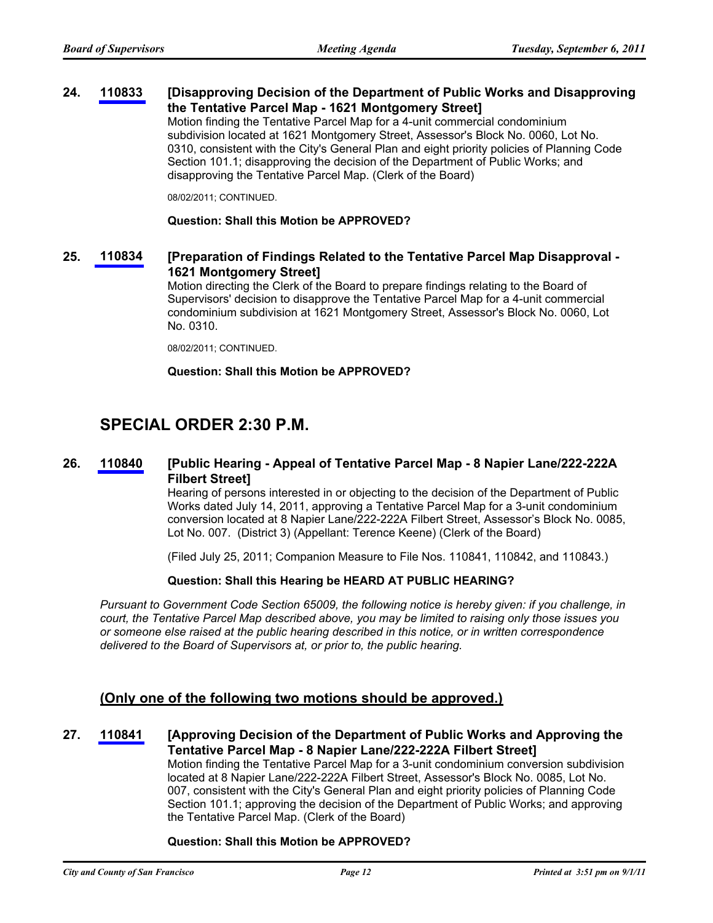#### **[Disapproving Decision of the Department of Public Works and Disapproving the Tentative Parcel Map - 1621 Montgomery Street] 24. [110833](http://www.sfbos.org/ftp/uploadedfiles/bdsupvrs/bosagendas/materials/bag090611_110833.pdf)**

Motion finding the Tentative Parcel Map for a 4-unit commercial condominium subdivision located at 1621 Montgomery Street, Assessor's Block No. 0060, Lot No. 0310, consistent with the City's General Plan and eight priority policies of Planning Code Section 101.1; disapproving the decision of the Department of Public Works; and disapproving the Tentative Parcel Map. (Clerk of the Board)

08/02/2011; CONTINUED.

#### **Question: Shall this Motion be APPROVED?**

#### **[Preparation of Findings Related to the Tentative Parcel Map Disapproval - 1621 Montgomery Street] 25. [110834](http://www.sfbos.org/ftp/uploadedfiles/bdsupvrs/bosagendas/materials/bag090611_110834.pdf)**

Motion directing the Clerk of the Board to prepare findings relating to the Board of Supervisors' decision to disapprove the Tentative Parcel Map for a 4-unit commercial condominium subdivision at 1621 Montgomery Street, Assessor's Block No. 0060, Lot No. 0310.

08/02/2011; CONTINUED.

#### **Question: Shall this Motion be APPROVED?**

# **SPECIAL ORDER 2:30 P.M.**

#### **[Public Hearing - Appeal of Tentative Parcel Map - 8 Napier Lane/222-222A Filbert Street] 26. [110840](http://www.sfbos.org/ftp/uploadedfiles/bdsupvrs/bosagendas/materials/bag090611_110840.pdf)**

Hearing of persons interested in or objecting to the decision of the Department of Public Works dated July 14, 2011, approving a Tentative Parcel Map for a 3-unit condominium conversion located at 8 Napier Lane/222-222A Filbert Street, Assessor's Block No. 0085, Lot No. 007. (District 3) (Appellant: Terence Keene) (Clerk of the Board)

(Filed July 25, 2011; Companion Measure to File Nos. 110841, 110842, and 110843.)

#### **Question: Shall this Hearing be HEARD AT PUBLIC HEARING?**

*Pursuant to Government Code Section 65009, the following notice is hereby given: if you challenge, in court, the Tentative Parcel Map described above, you may be limited to raising only those issues you or someone else raised at the public hearing described in this notice, or in written correspondence delivered to the Board of Supervisors at, or prior to, the public hearing.*

### **(Only one of the following two motions should be approved.)**

#### **[Approving Decision of the Department of Public Works and Approving the Tentative Parcel Map - 8 Napier Lane/222-222A Filbert Street] 27. [110841](http://www.sfbos.org/ftp/uploadedfiles/bdsupvrs/bosagendas/materials/bag090611_110841.pdf)** Motion finding the Tentative Parcel Map for a 3-unit condominium conversion subdivision located at 8 Napier Lane/222-222A Filbert Street, Assessor's Block No. 0085, Lot No. 007, consistent with the City's General Plan and eight priority policies of Planning Code Section 101.1; approving the decision of the Department of Public Works; and approving

#### **Question: Shall this Motion be APPROVED?**

the Tentative Parcel Map. (Clerk of the Board)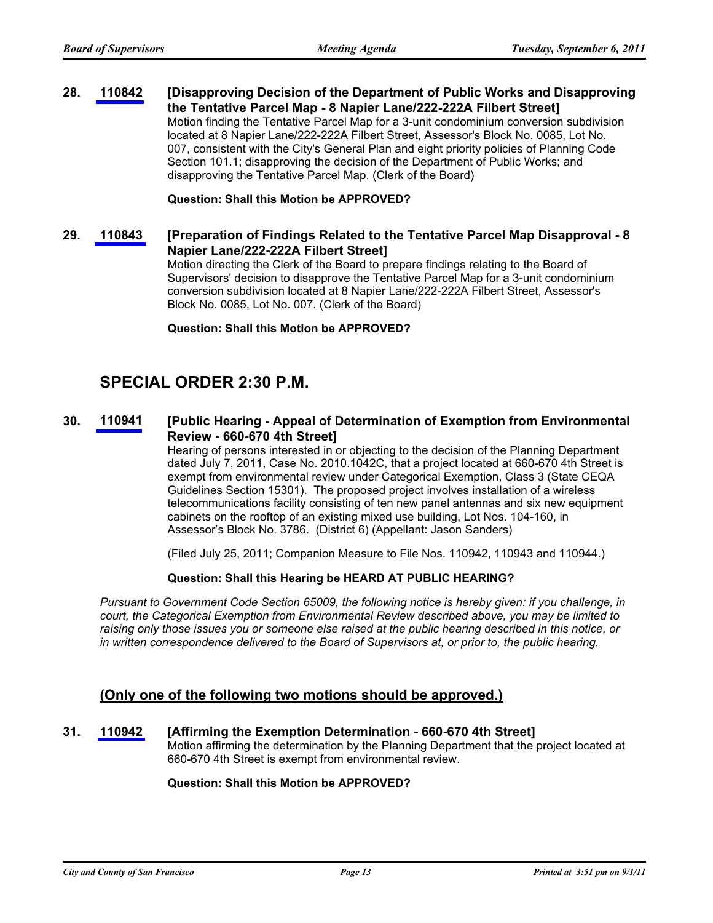#### **[Disapproving Decision of the Department of Public Works and Disapproving the Tentative Parcel Map - 8 Napier Lane/222-222A Filbert Street] 28. [110842](http://www.sfbos.org/ftp/uploadedfiles/bdsupvrs/bosagendas/materials/bag090611_110842.pdf)**

Motion finding the Tentative Parcel Map for a 3-unit condominium conversion subdivision located at 8 Napier Lane/222-222A Filbert Street, Assessor's Block No. 0085, Lot No. 007, consistent with the City's General Plan and eight priority policies of Planning Code Section 101.1; disapproving the decision of the Department of Public Works; and disapproving the Tentative Parcel Map. (Clerk of the Board)

**Question: Shall this Motion be APPROVED?**

#### **[Preparation of Findings Related to the Tentative Parcel Map Disapproval - 8 Napier Lane/222-222A Filbert Street] 29. [110843](http://www.sfbos.org/ftp/uploadedfiles/bdsupvrs/bosagendas/materials/bag090611_110843.pdf)**

Motion directing the Clerk of the Board to prepare findings relating to the Board of Supervisors' decision to disapprove the Tentative Parcel Map for a 3-unit condominium conversion subdivision located at 8 Napier Lane/222-222A Filbert Street, Assessor's Block No. 0085, Lot No. 007. (Clerk of the Board)

**Question: Shall this Motion be APPROVED?**

# **SPECIAL ORDER 2:30 P.M.**

#### **[Public Hearing - Appeal of Determination of Exemption from Environmental Review - 660-670 4th Street] 30. [110941](http://www.sfbos.org/ftp/uploadedfiles/bdsupvrs/bosagendas/materials/bag090611_110941.pdf)**

Hearing of persons interested in or objecting to the decision of the Planning Department dated July 7, 2011, Case No. 2010.1042C, that a project located at 660-670 4th Street is exempt from environmental review under Categorical Exemption, Class 3 (State CEQA Guidelines Section 15301). The proposed project involves installation of a wireless telecommunications facility consisting of ten new panel antennas and six new equipment cabinets on the rooftop of an existing mixed use building, Lot Nos. 104-160, in Assessor's Block No. 3786. (District 6) (Appellant: Jason Sanders)

(Filed July 25, 2011; Companion Measure to File Nos. 110942, 110943 and 110944.)

#### **Question: Shall this Hearing be HEARD AT PUBLIC HEARING?**

*Pursuant to Government Code Section 65009, the following notice is hereby given: if you challenge, in court, the Categorical Exemption from Environmental Review described above, you may be limited to raising only those issues you or someone else raised at the public hearing described in this notice, or in written correspondence delivered to the Board of Supervisors at, or prior to, the public hearing.*

### **(Only one of the following two motions should be approved.)**

### **31. [110942](http://www.sfbos.org/ftp/uploadedfiles/bdsupvrs/bosagendas/materials/bag090611_110942.pdf) [Affirming the Exemption Determination - 660-670 4th Street]**

Motion affirming the determination by the Planning Department that the project located at 660-670 4th Street is exempt from environmental review.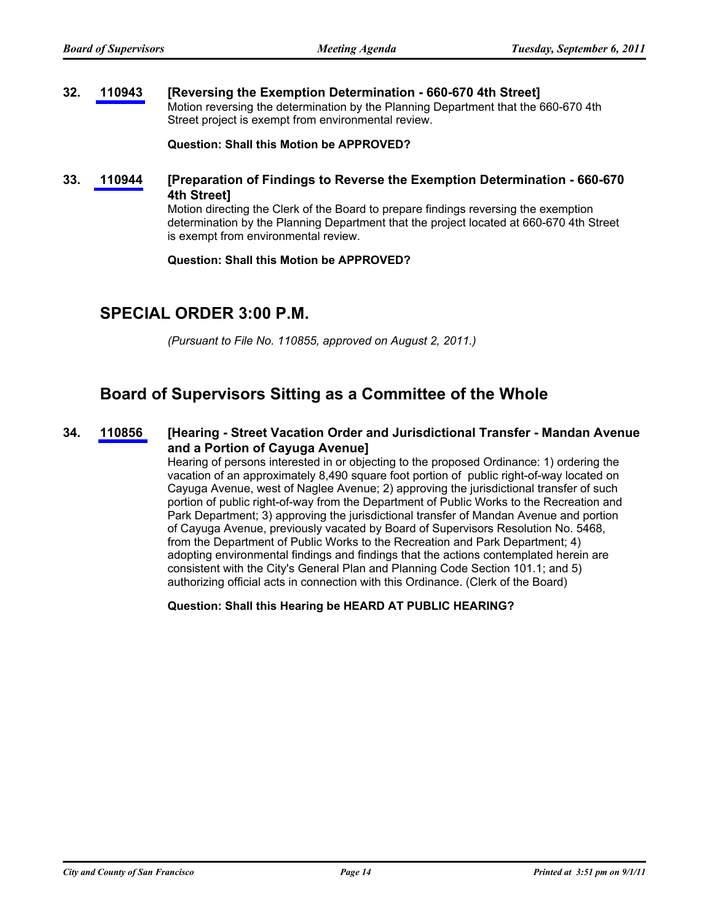#### **32. [110943](http://www.sfbos.org/ftp/uploadedfiles/bdsupvrs/bosagendas/materials/bag090611_110943.pdf) [Reversing the Exemption Determination - 660-670 4th Street]** Motion reversing the determination by the Planning Department that the 660-670 4th Street project is exempt from environmental review.

**Question: Shall this Motion be APPROVED?**

**[Preparation of Findings to Reverse the Exemption Determination - 660-670 4th Street] 33. [110944](http://www.sfbos.org/ftp/uploadedfiles/bdsupvrs/bosagendas/materials/bag090611_110944.pdf)**

> Motion directing the Clerk of the Board to prepare findings reversing the exemption determination by the Planning Department that the project located at 660-670 4th Street is exempt from environmental review.

#### **Question: Shall this Motion be APPROVED?**

# **SPECIAL ORDER 3:00 P.M.**

*(Pursuant to File No. 110855, approved on August 2, 2011.)*

### **Board of Supervisors Sitting as a Committee of the Whole**

#### **[Hearing - Street Vacation Order and Jurisdictional Transfer - Mandan Avenue and a Portion of Cayuga Avenue] 34. [110856](http://www.sfbos.org/ftp/uploadedfiles/bdsupvrs/bosagendas/materials/bag090611_110856.pdf)**

Hearing of persons interested in or objecting to the proposed Ordinance: 1) ordering the vacation of an approximately 8,490 square foot portion of public right-of-way located on Cayuga Avenue, west of Naglee Avenue; 2) approving the jurisdictional transfer of such portion of public right-of-way from the Department of Public Works to the Recreation and Park Department; 3) approving the jurisdictional transfer of Mandan Avenue and portion of Cayuga Avenue, previously vacated by Board of Supervisors Resolution No. 5468, from the Department of Public Works to the Recreation and Park Department; 4) adopting environmental findings and findings that the actions contemplated herein are consistent with the City's General Plan and Planning Code Section 101.1; and 5) authorizing official acts in connection with this Ordinance. (Clerk of the Board)

**Question: Shall this Hearing be HEARD AT PUBLIC HEARING?**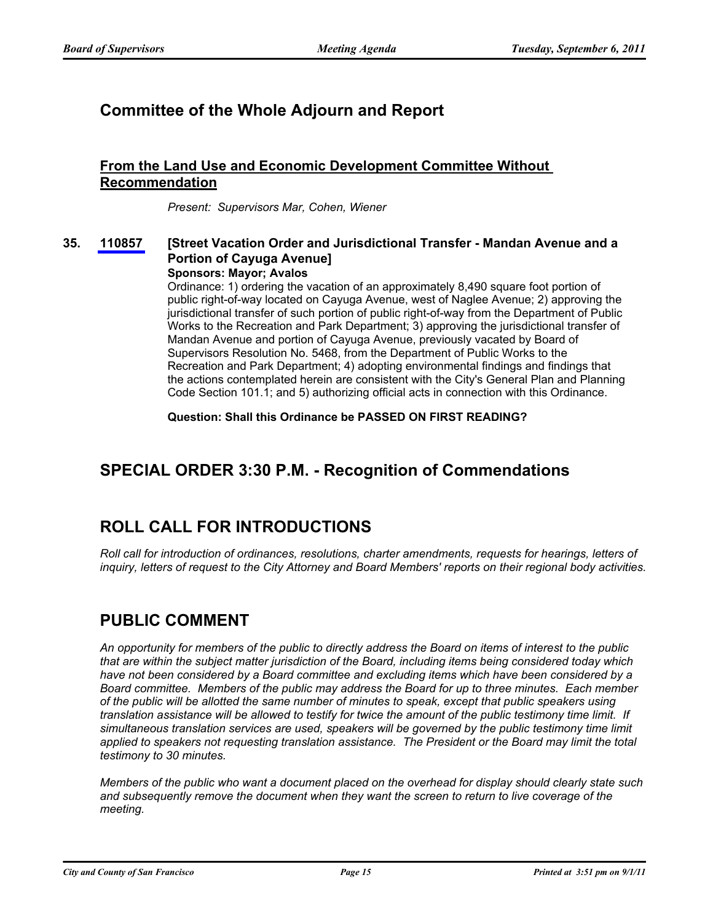# **Committee of the Whole Adjourn and Report**

### **From the Land Use and Economic Development Committee Without Recommendation**

*Present: Supervisors Mar, Cohen, Wiener*

#### **[Street Vacation Order and Jurisdictional Transfer - Mandan Avenue and a Portion of Cayuga Avenue] 35. [110857](http://www.sfbos.org/ftp/uploadedfiles/bdsupvrs/bosagendas/materials/bag090611_110857.pdf)**

### **Sponsors: Mayor; Avalos**

Ordinance: 1) ordering the vacation of an approximately 8,490 square foot portion of public right-of-way located on Cayuga Avenue, west of Naglee Avenue; 2) approving the jurisdictional transfer of such portion of public right-of-way from the Department of Public Works to the Recreation and Park Department; 3) approving the jurisdictional transfer of Mandan Avenue and portion of Cayuga Avenue, previously vacated by Board of Supervisors Resolution No. 5468, from the Department of Public Works to the Recreation and Park Department; 4) adopting environmental findings and findings that the actions contemplated herein are consistent with the City's General Plan and Planning Code Section 101.1; and 5) authorizing official acts in connection with this Ordinance.

**Question: Shall this Ordinance be PASSED ON FIRST READING?**

# **SPECIAL ORDER 3:30 P.M. - Recognition of Commendations**

# **ROLL CALL FOR INTRODUCTIONS**

*Roll call for introduction of ordinances, resolutions, charter amendments, requests for hearings, letters of inquiry, letters of request to the City Attorney and Board Members' reports on their regional body activities.*

# **PUBLIC COMMENT**

*An opportunity for members of the public to directly address the Board on items of interest to the public that are within the subject matter jurisdiction of the Board, including items being considered today which have not been considered by a Board committee and excluding items which have been considered by a Board committee. Members of the public may address the Board for up to three minutes. Each member of the public will be allotted the same number of minutes to speak, except that public speakers using translation assistance will be allowed to testify for twice the amount of the public testimony time limit. If simultaneous translation services are used, speakers will be governed by the public testimony time limit applied to speakers not requesting translation assistance. The President or the Board may limit the total testimony to 30 minutes.*

*Members of the public who want a document placed on the overhead for display should clearly state such and subsequently remove the document when they want the screen to return to live coverage of the meeting.*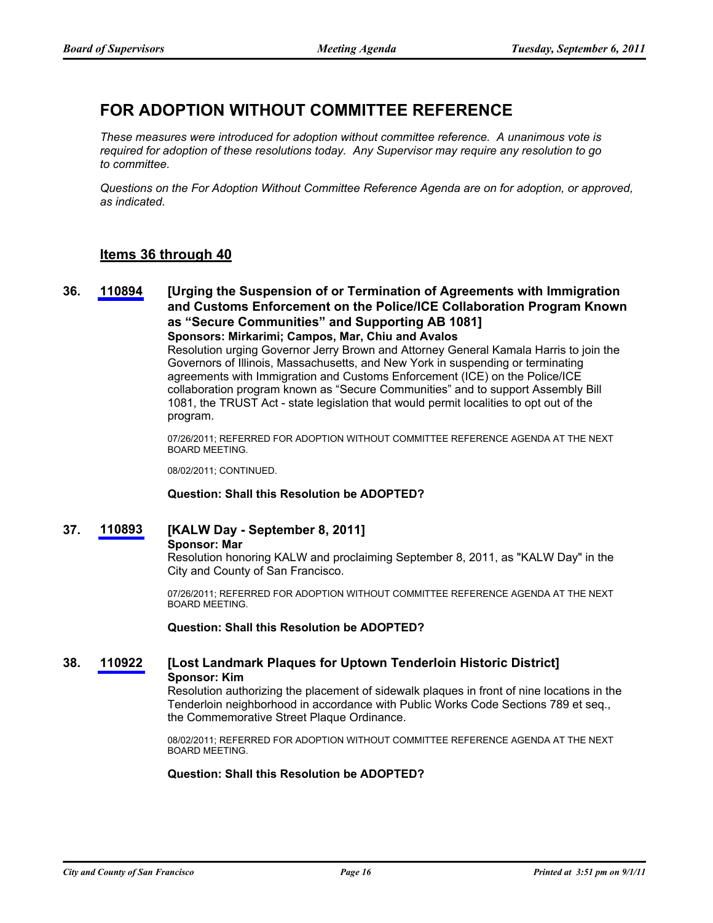# **FOR ADOPTION WITHOUT COMMITTEE REFERENCE**

*These measures were introduced for adoption without committee reference. A unanimous vote is required for adoption of these resolutions today. Any Supervisor may require any resolution to go to committee.*

*Questions on the For Adoption Without Committee Reference Agenda are on for adoption, or approved, as indicated.*

### **Items 36 through 40**

**[Urging the Suspension of or Termination of Agreements with Immigration and Customs Enforcement on the Police/ICE Collaboration Program Known as "Secure Communities" and Supporting AB 1081] 36. [110894](http://www.sfbos.org/ftp/uploadedfiles/bdsupvrs/bosagendas/materials/bag090611_110894.pdf) Sponsors: Mirkarimi; Campos, Mar, Chiu and Avalos**

> Resolution urging Governor Jerry Brown and Attorney General Kamala Harris to join the Governors of Illinois, Massachusetts, and New York in suspending or terminating agreements with Immigration and Customs Enforcement (ICE) on the Police/ICE collaboration program known as "Secure Communities" and to support Assembly Bill 1081, the TRUST Act - state legislation that would permit localities to opt out of the program.

07/26/2011; REFERRED FOR ADOPTION WITHOUT COMMITTEE REFERENCE AGENDA AT THE NEXT BOARD MEETING.

08/02/2011; CONTINUED.

#### **Question: Shall this Resolution be ADOPTED?**

**37. [110893](http://www.sfbos.org/ftp/uploadedfiles/bdsupvrs/bosagendas/materials/bag090611_110893.pdf) [KALW Day - September 8, 2011]**

#### **Sponsor: Mar**

Resolution honoring KALW and proclaiming September 8, 2011, as "KALW Day" in the City and County of San Francisco.

07/26/2011; REFERRED FOR ADOPTION WITHOUT COMMITTEE REFERENCE AGENDA AT THE NEXT BOARD MEETING.

**Question: Shall this Resolution be ADOPTED?**

### **38. [110922](http://www.sfbos.org/ftp/uploadedfiles/bdsupvrs/bosagendas/materials/bag090611_110922.pdf) [Lost Landmark Plaques for Uptown Tenderloin Historic District] Sponsor: Kim**

Resolution authorizing the placement of sidewalk plaques in front of nine locations in the Tenderloin neighborhood in accordance with Public Works Code Sections 789 et seq., the Commemorative Street Plaque Ordinance.

08/02/2011; REFERRED FOR ADOPTION WITHOUT COMMITTEE REFERENCE AGENDA AT THE NEXT BOARD MEETING.

#### **Question: Shall this Resolution be ADOPTED?**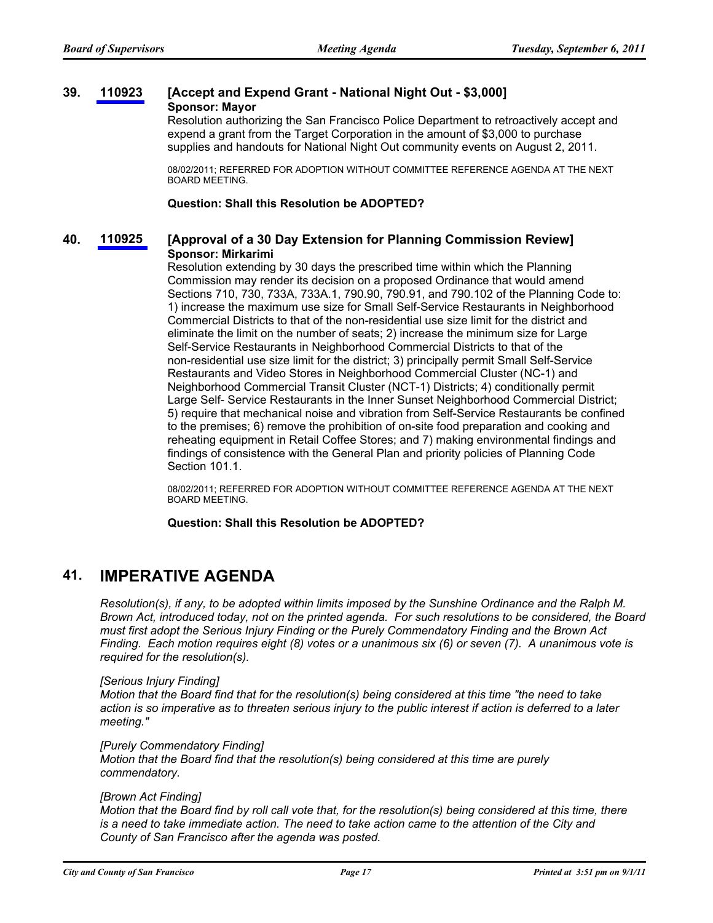#### **39. [110923](http://www.sfbos.org/ftp/uploadedfiles/bdsupvrs/bosagendas/materials/bag090611_110923.pdf) [Accept and Expend Grant - National Night Out - \$3,000] Sponsor: Mayor**

Resolution authorizing the San Francisco Police Department to retroactively accept and expend a grant from the Target Corporation in the amount of \$3,000 to purchase supplies and handouts for National Night Out community events on August 2, 2011.

08/02/2011; REFERRED FOR ADOPTION WITHOUT COMMITTEE REFERENCE AGENDA AT THE NEXT BOARD MEETING.

**Question: Shall this Resolution be ADOPTED?**

### **40. [110925](http://www.sfbos.org/ftp/uploadedfiles/bdsupvrs/bosagendas/materials/bag090611_110925.pdf) [Approval of a 30 Day Extension for Planning Commission Review] Sponsor: Mirkarimi**

Resolution extending by 30 days the prescribed time within which the Planning Commission may render its decision on a proposed Ordinance that would amend Sections 710, 730, 733A, 733A.1, 790.90, 790.91, and 790.102 of the Planning Code to: 1) increase the maximum use size for Small Self-Service Restaurants in Neighborhood Commercial Districts to that of the non-residential use size limit for the district and eliminate the limit on the number of seats; 2) increase the minimum size for Large Self-Service Restaurants in Neighborhood Commercial Districts to that of the non-residential use size limit for the district; 3) principally permit Small Self-Service Restaurants and Video Stores in Neighborhood Commercial Cluster (NC-1) and Neighborhood Commercial Transit Cluster (NCT-1) Districts; 4) conditionally permit Large Self- Service Restaurants in the Inner Sunset Neighborhood Commercial District; 5) require that mechanical noise and vibration from Self-Service Restaurants be confined to the premises; 6) remove the prohibition of on-site food preparation and cooking and reheating equipment in Retail Coffee Stores; and 7) making environmental findings and findings of consistence with the General Plan and priority policies of Planning Code Section 101.1.

08/02/2011; REFERRED FOR ADOPTION WITHOUT COMMITTEE REFERENCE AGENDA AT THE NEXT BOARD MEETING.

#### **Question: Shall this Resolution be ADOPTED?**

### **41. IMPERATIVE AGENDA**

*Resolution(s), if any, to be adopted within limits imposed by the Sunshine Ordinance and the Ralph M. Brown Act, introduced today, not on the printed agenda. For such resolutions to be considered, the Board must first adopt the Serious Injury Finding or the Purely Commendatory Finding and the Brown Act Finding. Each motion requires eight (8) votes or a unanimous six (6) or seven (7). A unanimous vote is required for the resolution(s).*

#### *[Serious Injury Finding]*

*Motion that the Board find that for the resolution(s) being considered at this time "the need to take action is so imperative as to threaten serious injury to the public interest if action is deferred to a later meeting."*

#### *[Purely Commendatory Finding]*

*Motion that the Board find that the resolution(s) being considered at this time are purely commendatory.*

#### *[Brown Act Finding]*

*Motion that the Board find by roll call vote that, for the resolution(s) being considered at this time, there is a need to take immediate action. The need to take action came to the attention of the City and County of San Francisco after the agenda was posted.*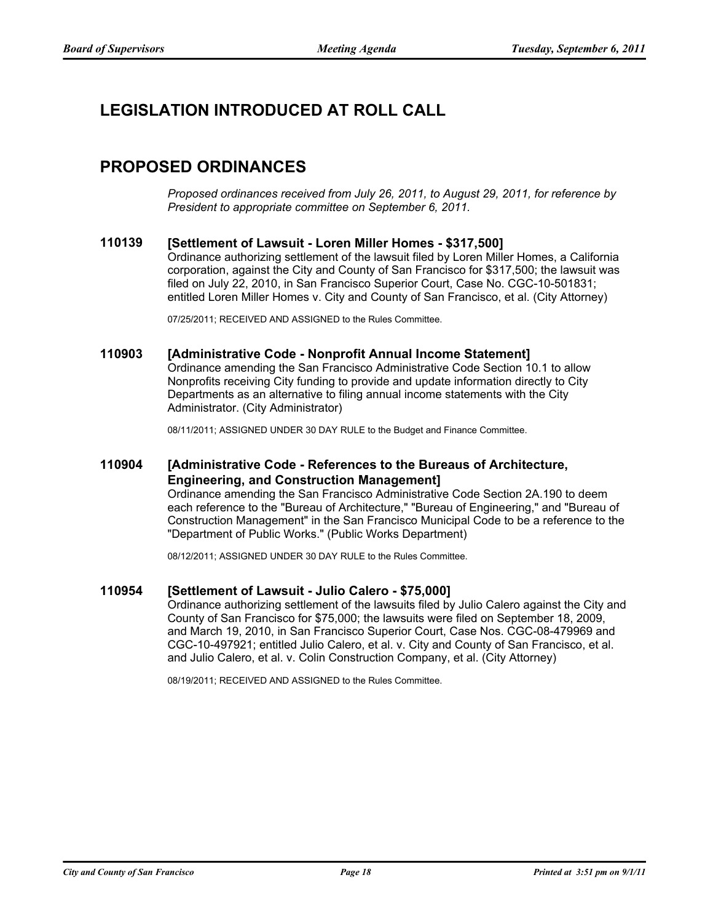# **LEGISLATION INTRODUCED AT ROLL CALL**

# **PROPOSED ORDINANCES**

*Proposed ordinances received from July 26, 2011, to August 29, 2011, for reference by President to appropriate committee on September 6, 2011.*

### **110139 [Settlement of Lawsuit - Loren Miller Homes - \$317,500]**

Ordinance authorizing settlement of the lawsuit filed by Loren Miller Homes, a California corporation, against the City and County of San Francisco for \$317,500; the lawsuit was filed on July 22, 2010, in San Francisco Superior Court, Case No. CGC-10-501831; entitled Loren Miller Homes v. City and County of San Francisco, et al. (City Attorney)

07/25/2011; RECEIVED AND ASSIGNED to the Rules Committee.

### **110903 [Administrative Code - Nonprofit Annual Income Statement]**

Ordinance amending the San Francisco Administrative Code Section 10.1 to allow Nonprofits receiving City funding to provide and update information directly to City Departments as an alternative to filing annual income statements with the City Administrator. (City Administrator)

08/11/2011; ASSIGNED UNDER 30 DAY RULE to the Budget and Finance Committee.

#### **[Administrative Code - References to the Bureaus of Architecture, Engineering, and Construction Management] 110904**

Ordinance amending the San Francisco Administrative Code Section 2A.190 to deem each reference to the "Bureau of Architecture," "Bureau of Engineering," and "Bureau of Construction Management" in the San Francisco Municipal Code to be a reference to the "Department of Public Works." (Public Works Department)

08/12/2011; ASSIGNED UNDER 30 DAY RULE to the Rules Committee.

#### **110954 [Settlement of Lawsuit - Julio Calero - \$75,000]**

Ordinance authorizing settlement of the lawsuits filed by Julio Calero against the City and County of San Francisco for \$75,000; the lawsuits were filed on September 18, 2009, and March 19, 2010, in San Francisco Superior Court, Case Nos. CGC-08-479969 and CGC-10-497921; entitled Julio Calero, et al. v. City and County of San Francisco, et al. and Julio Calero, et al. v. Colin Construction Company, et al. (City Attorney)

08/19/2011; RECEIVED AND ASSIGNED to the Rules Committee.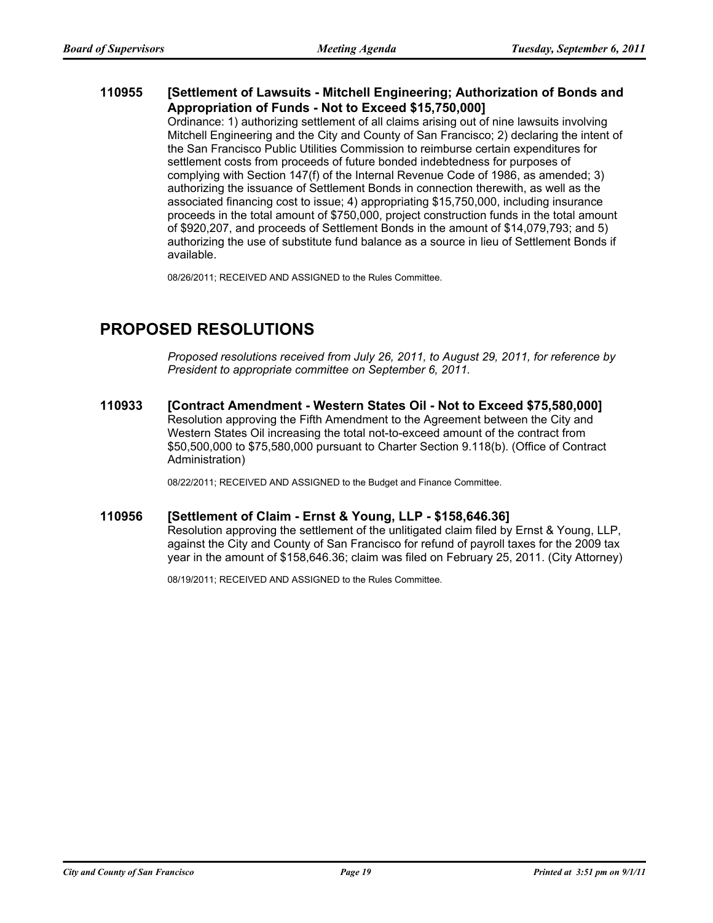#### **[Settlement of Lawsuits - Mitchell Engineering; Authorization of Bonds and Appropriation of Funds - Not to Exceed \$15,750,000] 110955**

Ordinance: 1) authorizing settlement of all claims arising out of nine lawsuits involving Mitchell Engineering and the City and County of San Francisco; 2) declaring the intent of the San Francisco Public Utilities Commission to reimburse certain expenditures for settlement costs from proceeds of future bonded indebtedness for purposes of complying with Section 147(f) of the Internal Revenue Code of 1986, as amended; 3) authorizing the issuance of Settlement Bonds in connection therewith, as well as the associated financing cost to issue; 4) appropriating \$15,750,000, including insurance proceeds in the total amount of \$750,000, project construction funds in the total amount of \$920,207, and proceeds of Settlement Bonds in the amount of \$14,079,793; and 5) authorizing the use of substitute fund balance as a source in lieu of Settlement Bonds if available.

08/26/2011; RECEIVED AND ASSIGNED to the Rules Committee.

# **PROPOSED RESOLUTIONS**

*Proposed resolutions received from July 26, 2011, to August 29, 2011, for reference by President to appropriate committee on September 6, 2011.*

**110933 [Contract Amendment - Western States Oil - Not to Exceed \$75,580,000]** Resolution approving the Fifth Amendment to the Agreement between the City and Western States Oil increasing the total not-to-exceed amount of the contract from \$50,500,000 to \$75,580,000 pursuant to Charter Section 9.118(b). (Office of Contract Administration)

08/22/2011; RECEIVED AND ASSIGNED to the Budget and Finance Committee.

#### **110956 [Settlement of Claim - Ernst & Young, LLP - \$158,646.36]**

Resolution approving the settlement of the unlitigated claim filed by Ernst & Young, LLP, against the City and County of San Francisco for refund of payroll taxes for the 2009 tax year in the amount of \$158,646.36; claim was filed on February 25, 2011. (City Attorney)

08/19/2011; RECEIVED AND ASSIGNED to the Rules Committee.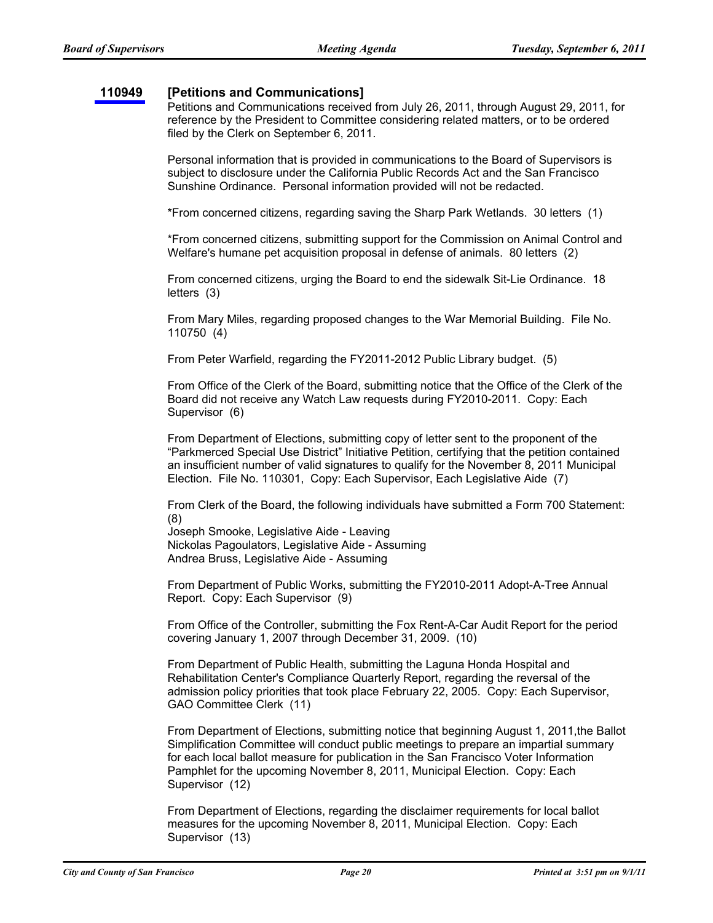#### **[110949](http://www.sfbos.org/ftp/uploadedfiles/bdsupvrs/communications/2011/110949.pdf) [Petitions and Communications]**

Petitions and Communications received from July 26, 2011, through August 29, 2011, for reference by the President to Committee considering related matters, or to be ordered filed by the Clerk on September 6, 2011.

Personal information that is provided in communications to the Board of Supervisors is subject to disclosure under the California Public Records Act and the San Francisco Sunshine Ordinance. Personal information provided will not be redacted.

\*From concerned citizens, regarding saving the Sharp Park Wetlands. 30 letters (1)

\*From concerned citizens, submitting support for the Commission on Animal Control and Welfare's humane pet acquisition proposal in defense of animals. 80 letters (2)

From concerned citizens, urging the Board to end the sidewalk Sit-Lie Ordinance. 18 letters (3)

From Mary Miles, regarding proposed changes to the War Memorial Building. File No. 110750 (4)

From Peter Warfield, regarding the FY2011-2012 Public Library budget. (5)

From Office of the Clerk of the Board, submitting notice that the Office of the Clerk of the Board did not receive any Watch Law requests during FY2010-2011. Copy: Each Supervisor (6)

From Department of Elections, submitting copy of letter sent to the proponent of the "Parkmerced Special Use District" Initiative Petition, certifying that the petition contained an insufficient number of valid signatures to qualify for the November 8, 2011 Municipal Election. File No. 110301, Copy: Each Supervisor, Each Legislative Aide (7)

From Clerk of the Board, the following individuals have submitted a Form 700 Statement: (8)

Joseph Smooke, Legislative Aide - Leaving Nickolas Pagoulators, Legislative Aide - Assuming Andrea Bruss, Legislative Aide - Assuming

From Department of Public Works, submitting the FY2010-2011 Adopt-A-Tree Annual Report. Copy: Each Supervisor (9)

From Office of the Controller, submitting the Fox Rent-A-Car Audit Report for the period covering January 1, 2007 through December 31, 2009. (10)

From Department of Public Health, submitting the Laguna Honda Hospital and Rehabilitation Center's Compliance Quarterly Report, regarding the reversal of the admission policy priorities that took place February 22, 2005. Copy: Each Supervisor, GAO Committee Clerk (11)

From Department of Elections, submitting notice that beginning August 1, 2011,the Ballot Simplification Committee will conduct public meetings to prepare an impartial summary for each local ballot measure for publication in the San Francisco Voter Information Pamphlet for the upcoming November 8, 2011, Municipal Election. Copy: Each Supervisor (12)

From Department of Elections, regarding the disclaimer requirements for local ballot measures for the upcoming November 8, 2011, Municipal Election. Copy: Each Supervisor (13)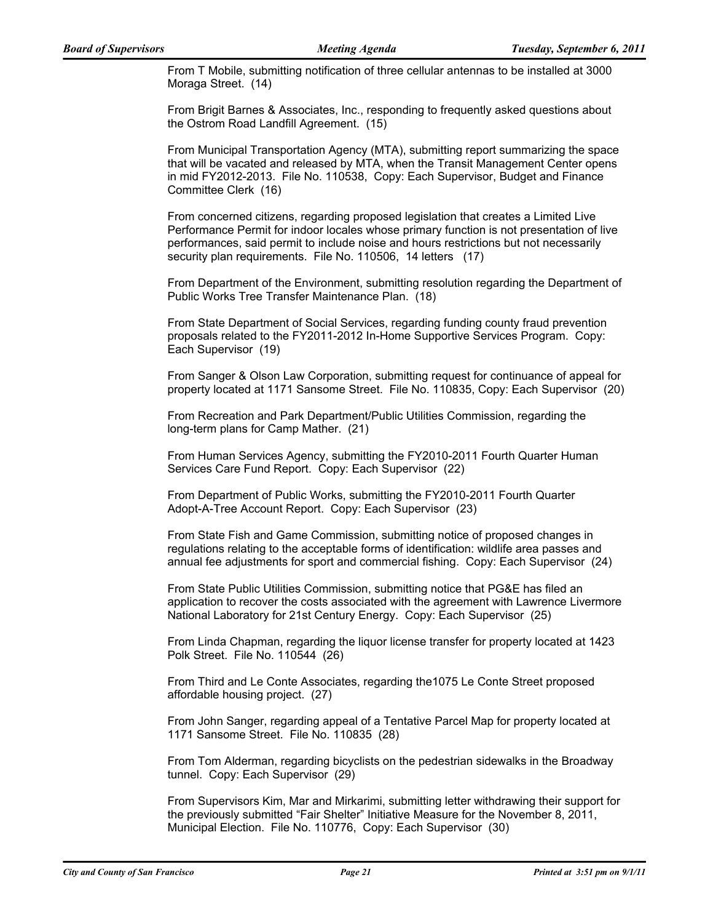From T Mobile, submitting notification of three cellular antennas to be installed at 3000 Moraga Street. (14)

From Brigit Barnes & Associates, Inc., responding to frequently asked questions about the Ostrom Road Landfill Agreement. (15)

From Municipal Transportation Agency (MTA), submitting report summarizing the space that will be vacated and released by MTA, when the Transit Management Center opens in mid FY2012-2013. File No. 110538, Copy: Each Supervisor, Budget and Finance Committee Clerk (16)

From concerned citizens, regarding proposed legislation that creates a Limited Live Performance Permit for indoor locales whose primary function is not presentation of live performances, said permit to include noise and hours restrictions but not necessarily security plan requirements. File No. 110506, 14 letters (17)

From Department of the Environment, submitting resolution regarding the Department of Public Works Tree Transfer Maintenance Plan. (18)

From State Department of Social Services, regarding funding county fraud prevention proposals related to the FY2011-2012 In-Home Supportive Services Program. Copy: Each Supervisor (19)

From Sanger & Olson Law Corporation, submitting request for continuance of appeal for property located at 1171 Sansome Street. File No. 110835, Copy: Each Supervisor (20)

From Recreation and Park Department/Public Utilities Commission, regarding the long-term plans for Camp Mather. (21)

From Human Services Agency, submitting the FY2010-2011 Fourth Quarter Human Services Care Fund Report. Copy: Each Supervisor (22)

From Department of Public Works, submitting the FY2010-2011 Fourth Quarter Adopt-A-Tree Account Report. Copy: Each Supervisor (23)

From State Fish and Game Commission, submitting notice of proposed changes in regulations relating to the acceptable forms of identification: wildlife area passes and annual fee adjustments for sport and commercial fishing. Copy: Each Supervisor (24)

From State Public Utilities Commission, submitting notice that PG&E has filed an application to recover the costs associated with the agreement with Lawrence Livermore National Laboratory for 21st Century Energy. Copy: Each Supervisor (25)

From Linda Chapman, regarding the liquor license transfer for property located at 1423 Polk Street. File No. 110544 (26)

From Third and Le Conte Associates, regarding the1075 Le Conte Street proposed affordable housing project. (27)

From John Sanger, regarding appeal of a Tentative Parcel Map for property located at 1171 Sansome Street. File No. 110835 (28)

From Tom Alderman, regarding bicyclists on the pedestrian sidewalks in the Broadway tunnel. Copy: Each Supervisor (29)

From Supervisors Kim, Mar and Mirkarimi, submitting letter withdrawing their support for the previously submitted "Fair Shelter" Initiative Measure for the November 8, 2011, Municipal Election. File No. 110776, Copy: Each Supervisor (30)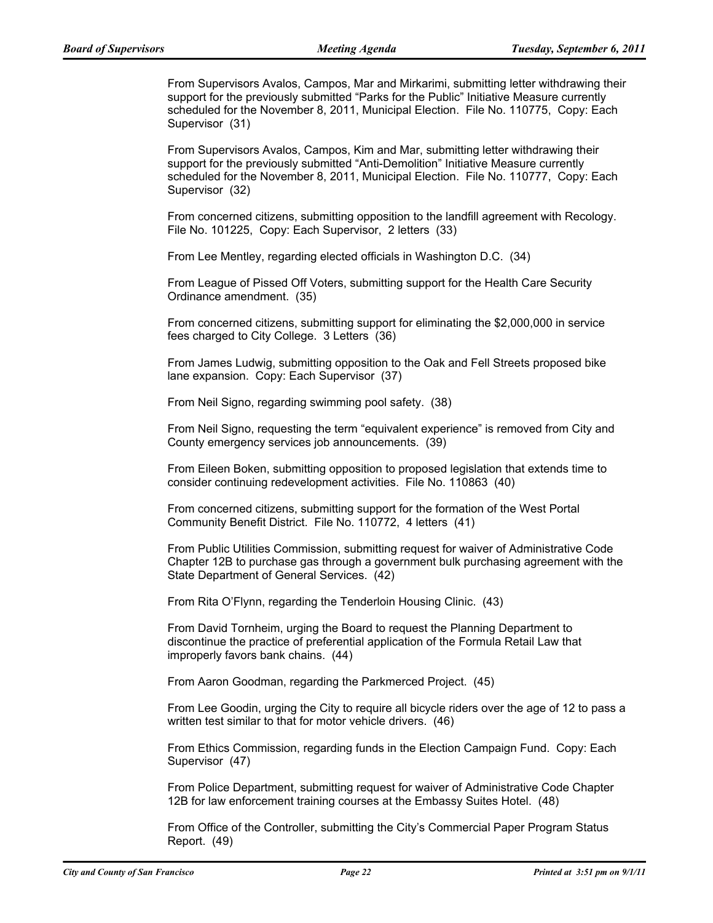From Supervisors Avalos, Campos, Mar and Mirkarimi, submitting letter withdrawing their support for the previously submitted "Parks for the Public" Initiative Measure currently scheduled for the November 8, 2011, Municipal Election. File No. 110775, Copy: Each Supervisor (31)

From Supervisors Avalos, Campos, Kim and Mar, submitting letter withdrawing their support for the previously submitted "Anti-Demolition" Initiative Measure currently scheduled for the November 8, 2011, Municipal Election. File No. 110777, Copy: Each Supervisor (32)

From concerned citizens, submitting opposition to the landfill agreement with Recology. File No. 101225, Copy: Each Supervisor, 2 letters (33)

From Lee Mentley, regarding elected officials in Washington D.C. (34)

From League of Pissed Off Voters, submitting support for the Health Care Security Ordinance amendment. (35)

From concerned citizens, submitting support for eliminating the \$2,000,000 in service fees charged to City College. 3 Letters (36)

From James Ludwig, submitting opposition to the Oak and Fell Streets proposed bike lane expansion. Copy: Each Supervisor (37)

From Neil Signo, regarding swimming pool safety. (38)

From Neil Signo, requesting the term "equivalent experience" is removed from City and County emergency services job announcements. (39)

From Eileen Boken, submitting opposition to proposed legislation that extends time to consider continuing redevelopment activities. File No. 110863 (40)

From concerned citizens, submitting support for the formation of the West Portal Community Benefit District. File No. 110772, 4 letters (41)

From Public Utilities Commission, submitting request for waiver of Administrative Code Chapter 12B to purchase gas through a government bulk purchasing agreement with the State Department of General Services. (42)

From Rita O'Flynn, regarding the Tenderloin Housing Clinic. (43)

From David Tornheim, urging the Board to request the Planning Department to discontinue the practice of preferential application of the Formula Retail Law that improperly favors bank chains. (44)

From Aaron Goodman, regarding the Parkmerced Project. (45)

From Lee Goodin, urging the City to require all bicycle riders over the age of 12 to pass a written test similar to that for motor vehicle drivers. (46)

From Ethics Commission, regarding funds in the Election Campaign Fund. Copy: Each Supervisor (47)

From Police Department, submitting request for waiver of Administrative Code Chapter 12B for law enforcement training courses at the Embassy Suites Hotel. (48)

From Office of the Controller, submitting the City's Commercial Paper Program Status Report. (49)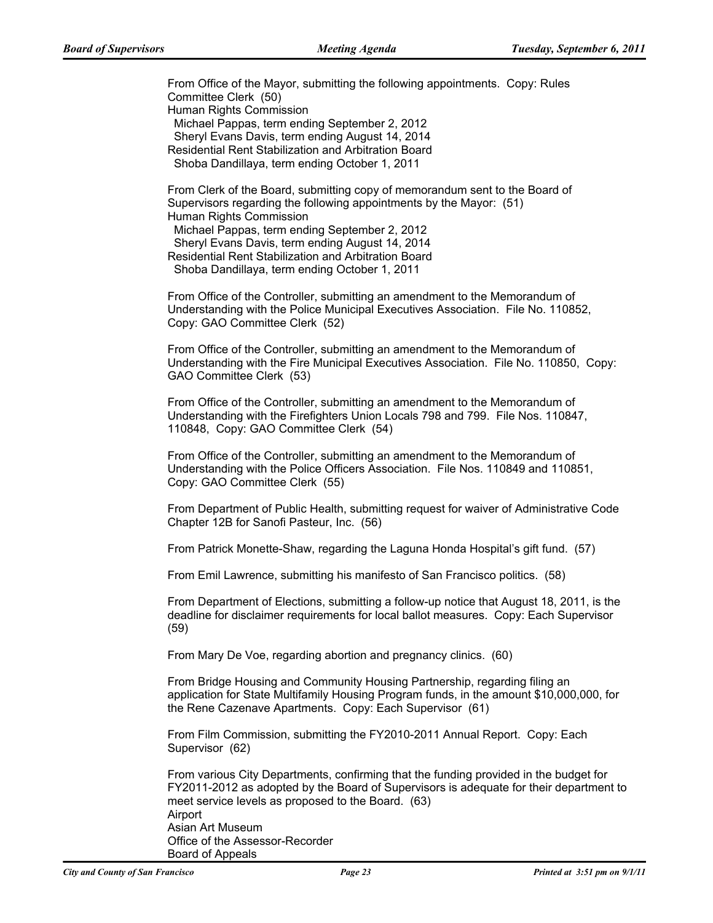From Office of the Mayor, submitting the following appointments. Copy: Rules Committee Clerk (50) Human Rights Commission Michael Pappas, term ending September 2, 2012 Sheryl Evans Davis, term ending August 14, 2014 Residential Rent Stabilization and Arbitration Board Shoba Dandillaya, term ending October 1, 2011

From Clerk of the Board, submitting copy of memorandum sent to the Board of Supervisors regarding the following appointments by the Mayor: (51) Human Rights Commission

 Michael Pappas, term ending September 2, 2012 Sheryl Evans Davis, term ending August 14, 2014 Residential Rent Stabilization and Arbitration Board Shoba Dandillaya, term ending October 1, 2011

From Office of the Controller, submitting an amendment to the Memorandum of Understanding with the Police Municipal Executives Association. File No. 110852, Copy: GAO Committee Clerk (52)

From Office of the Controller, submitting an amendment to the Memorandum of Understanding with the Fire Municipal Executives Association. File No. 110850, Copy: GAO Committee Clerk (53)

From Office of the Controller, submitting an amendment to the Memorandum of Understanding with the Firefighters Union Locals 798 and 799. File Nos. 110847, 110848, Copy: GAO Committee Clerk (54)

From Office of the Controller, submitting an amendment to the Memorandum of Understanding with the Police Officers Association. File Nos. 110849 and 110851, Copy: GAO Committee Clerk (55)

From Department of Public Health, submitting request for waiver of Administrative Code Chapter 12B for Sanofi Pasteur, Inc. (56)

From Patrick Monette-Shaw, regarding the Laguna Honda Hospital's gift fund. (57)

From Emil Lawrence, submitting his manifesto of San Francisco politics. (58)

From Department of Elections, submitting a follow-up notice that August 18, 2011, is the deadline for disclaimer requirements for local ballot measures. Copy: Each Supervisor (59)

From Mary De Voe, regarding abortion and pregnancy clinics. (60)

From Bridge Housing and Community Housing Partnership, regarding filing an application for State Multifamily Housing Program funds, in the amount \$10,000,000, for the Rene Cazenave Apartments. Copy: Each Supervisor (61)

From Film Commission, submitting the FY2010-2011 Annual Report. Copy: Each Supervisor (62)

From various City Departments, confirming that the funding provided in the budget for FY2011-2012 as adopted by the Board of Supervisors is adequate for their department to meet service levels as proposed to the Board. (63) Airport Asian Art Museum Office of the Assessor-Recorder Board of Appeals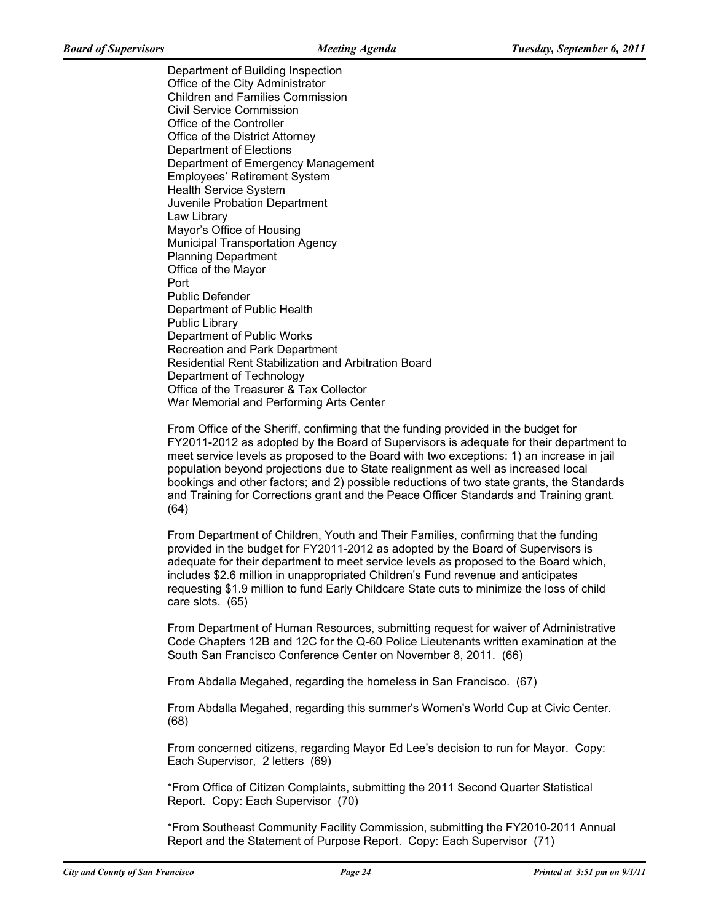Department of Building Inspection Office of the City Administrator Children and Families Commission Civil Service Commission Office of the Controller Office of the District Attorney Department of Elections Department of Emergency Management Employees' Retirement System Health Service System Juvenile Probation Department Law Library Mayor's Office of Housing Municipal Transportation Agency Planning Department Office of the Mayor Port Public Defender Department of Public Health Public Library Department of Public Works Recreation and Park Department Residential Rent Stabilization and Arbitration Board Department of Technology Office of the Treasurer & Tax Collector War Memorial and Performing Arts Center

From Office of the Sheriff, confirming that the funding provided in the budget for FY2011-2012 as adopted by the Board of Supervisors is adequate for their department to meet service levels as proposed to the Board with two exceptions: 1) an increase in jail population beyond projections due to State realignment as well as increased local bookings and other factors; and 2) possible reductions of two state grants, the Standards and Training for Corrections grant and the Peace Officer Standards and Training grant. (64)

From Department of Children, Youth and Their Families, confirming that the funding provided in the budget for FY2011-2012 as adopted by the Board of Supervisors is adequate for their department to meet service levels as proposed to the Board which, includes \$2.6 million in unappropriated Children's Fund revenue and anticipates requesting \$1.9 million to fund Early Childcare State cuts to minimize the loss of child care slots. (65)

From Department of Human Resources, submitting request for waiver of Administrative Code Chapters 12B and 12C for the Q-60 Police Lieutenants written examination at the South San Francisco Conference Center on November 8, 2011. (66)

From Abdalla Megahed, regarding the homeless in San Francisco. (67)

From Abdalla Megahed, regarding this summer's Women's World Cup at Civic Center. (68)

From concerned citizens, regarding Mayor Ed Lee's decision to run for Mayor. Copy: Each Supervisor, 2 letters (69)

\*From Office of Citizen Complaints, submitting the 2011 Second Quarter Statistical Report. Copy: Each Supervisor (70)

\*From Southeast Community Facility Commission, submitting the FY2010-2011 Annual Report and the Statement of Purpose Report. Copy: Each Supervisor (71)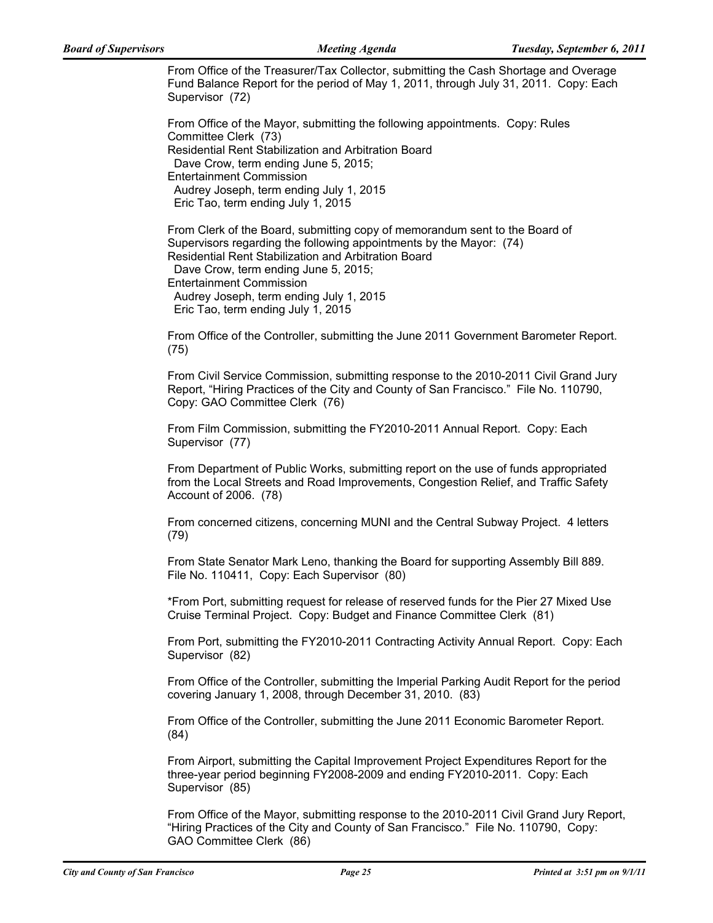From Office of the Treasurer/Tax Collector, submitting the Cash Shortage and Overage Fund Balance Report for the period of May 1, 2011, through July 31, 2011. Copy: Each Supervisor (72)

From Office of the Mayor, submitting the following appointments. Copy: Rules Committee Clerk (73) Residential Rent Stabilization and Arbitration Board Dave Crow, term ending June 5, 2015; Entertainment Commission Audrey Joseph, term ending July 1, 2015 Eric Tao, term ending July 1, 2015

From Clerk of the Board, submitting copy of memorandum sent to the Board of Supervisors regarding the following appointments by the Mayor: (74) Residential Rent Stabilization and Arbitration Board

Dave Crow, term ending June 5, 2015;

Entertainment Commission

Audrey Joseph, term ending July 1, 2015

Eric Tao, term ending July 1, 2015

From Office of the Controller, submitting the June 2011 Government Barometer Report. (75)

From Civil Service Commission, submitting response to the 2010-2011 Civil Grand Jury Report, "Hiring Practices of the City and County of San Francisco." File No. 110790, Copy: GAO Committee Clerk (76)

From Film Commission, submitting the FY2010-2011 Annual Report. Copy: Each Supervisor (77)

From Department of Public Works, submitting report on the use of funds appropriated from the Local Streets and Road Improvements, Congestion Relief, and Traffic Safety Account of 2006. (78)

From concerned citizens, concerning MUNI and the Central Subway Project. 4 letters (79)

From State Senator Mark Leno, thanking the Board for supporting Assembly Bill 889. File No. 110411, Copy: Each Supervisor (80)

\*From Port, submitting request for release of reserved funds for the Pier 27 Mixed Use Cruise Terminal Project. Copy: Budget and Finance Committee Clerk (81)

From Port, submitting the FY2010-2011 Contracting Activity Annual Report. Copy: Each Supervisor (82)

From Office of the Controller, submitting the Imperial Parking Audit Report for the period covering January 1, 2008, through December 31, 2010. (83)

From Office of the Controller, submitting the June 2011 Economic Barometer Report. (84)

From Airport, submitting the Capital Improvement Project Expenditures Report for the three-year period beginning FY2008-2009 and ending FY2010-2011. Copy: Each Supervisor (85)

From Office of the Mayor, submitting response to the 2010-2011 Civil Grand Jury Report, "Hiring Practices of the City and County of San Francisco." File No. 110790, Copy: GAO Committee Clerk (86)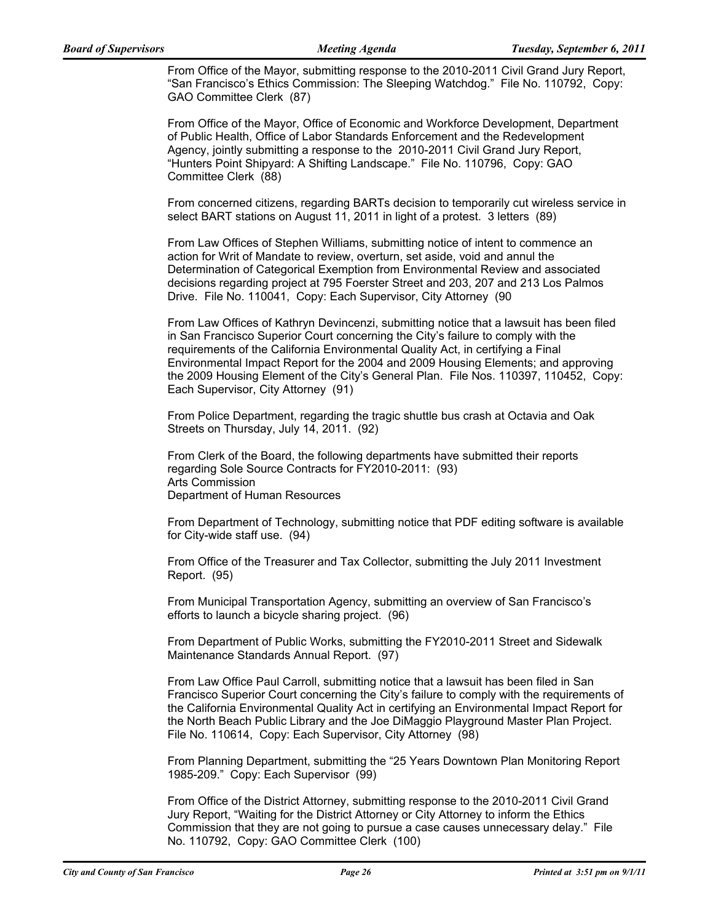From Office of the Mayor, submitting response to the 2010-2011 Civil Grand Jury Report, "San Francisco's Ethics Commission: The Sleeping Watchdog." File No. 110792, Copy: GAO Committee Clerk (87)

From Office of the Mayor, Office of Economic and Workforce Development, Department of Public Health, Office of Labor Standards Enforcement and the Redevelopment Agency, jointly submitting a response to the 2010-2011 Civil Grand Jury Report, "Hunters Point Shipyard: A Shifting Landscape." File No. 110796, Copy: GAO Committee Clerk (88)

From concerned citizens, regarding BARTs decision to temporarily cut wireless service in select BART stations on August 11, 2011 in light of a protest. 3 letters (89)

From Law Offices of Stephen Williams, submitting notice of intent to commence an action for Writ of Mandate to review, overturn, set aside, void and annul the Determination of Categorical Exemption from Environmental Review and associated decisions regarding project at 795 Foerster Street and 203, 207 and 213 Los Palmos Drive. File No. 110041, Copy: Each Supervisor, City Attorney (90

From Law Offices of Kathryn Devincenzi, submitting notice that a lawsuit has been filed in San Francisco Superior Court concerning the City's failure to comply with the requirements of the California Environmental Quality Act, in certifying a Final Environmental Impact Report for the 2004 and 2009 Housing Elements; and approving the 2009 Housing Element of the City's General Plan. File Nos. 110397, 110452, Copy: Each Supervisor, City Attorney (91)

From Police Department, regarding the tragic shuttle bus crash at Octavia and Oak Streets on Thursday, July 14, 2011. (92)

From Clerk of the Board, the following departments have submitted their reports regarding Sole Source Contracts for FY2010-2011: (93) Arts Commission Department of Human Resources

From Department of Technology, submitting notice that PDF editing software is available for City-wide staff use. (94)

From Office of the Treasurer and Tax Collector, submitting the July 2011 Investment Report. (95)

From Municipal Transportation Agency, submitting an overview of San Francisco's efforts to launch a bicycle sharing project. (96)

From Department of Public Works, submitting the FY2010-2011 Street and Sidewalk Maintenance Standards Annual Report. (97)

From Law Office Paul Carroll, submitting notice that a lawsuit has been filed in San Francisco Superior Court concerning the City's failure to comply with the requirements of the California Environmental Quality Act in certifying an Environmental Impact Report for the North Beach Public Library and the Joe DiMaggio Playground Master Plan Project. File No. 110614, Copy: Each Supervisor, City Attorney (98)

From Planning Department, submitting the "25 Years Downtown Plan Monitoring Report 1985-209." Copy: Each Supervisor (99)

From Office of the District Attorney, submitting response to the 2010-2011 Civil Grand Jury Report, "Waiting for the District Attorney or City Attorney to inform the Ethics Commission that they are not going to pursue a case causes unnecessary delay." File No. 110792, Copy: GAO Committee Clerk (100)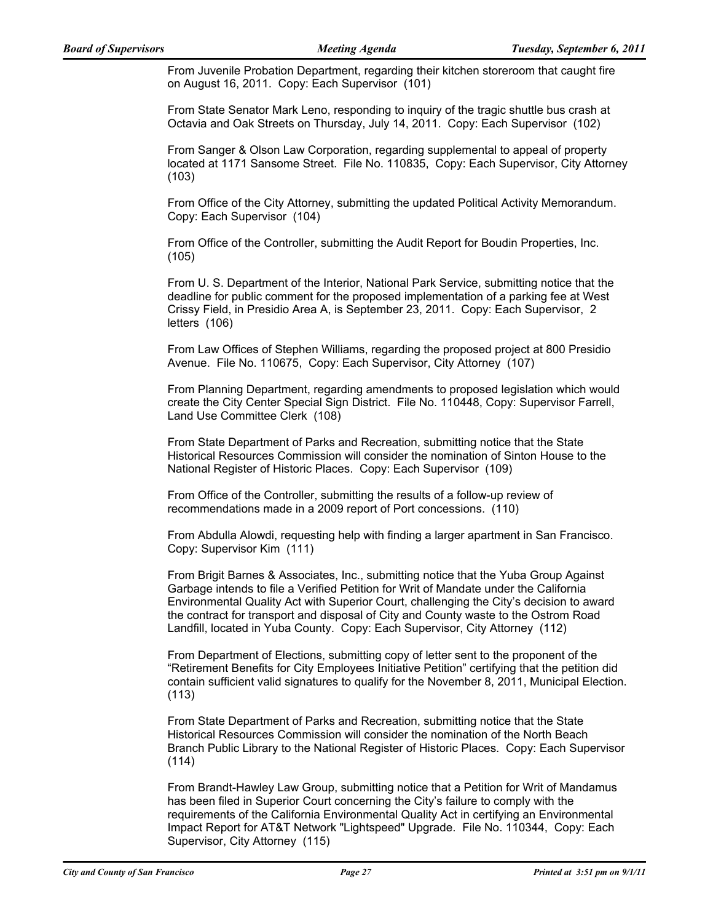From Juvenile Probation Department, regarding their kitchen storeroom that caught fire on August 16, 2011. Copy: Each Supervisor (101)

From State Senator Mark Leno, responding to inquiry of the tragic shuttle bus crash at Octavia and Oak Streets on Thursday, July 14, 2011. Copy: Each Supervisor (102)

From Sanger & Olson Law Corporation, regarding supplemental to appeal of property located at 1171 Sansome Street. File No. 110835, Copy: Each Supervisor, City Attorney (103)

From Office of the City Attorney, submitting the updated Political Activity Memorandum. Copy: Each Supervisor (104)

From Office of the Controller, submitting the Audit Report for Boudin Properties, Inc. (105)

From U. S. Department of the Interior, National Park Service, submitting notice that the deadline for public comment for the proposed implementation of a parking fee at West Crissy Field, in Presidio Area A, is September 23, 2011. Copy: Each Supervisor, 2 letters (106)

From Law Offices of Stephen Williams, regarding the proposed project at 800 Presidio Avenue. File No. 110675, Copy: Each Supervisor, City Attorney (107)

From Planning Department, regarding amendments to proposed legislation which would create the City Center Special Sign District. File No. 110448, Copy: Supervisor Farrell, Land Use Committee Clerk (108)

From State Department of Parks and Recreation, submitting notice that the State Historical Resources Commission will consider the nomination of Sinton House to the National Register of Historic Places. Copy: Each Supervisor (109)

From Office of the Controller, submitting the results of a follow-up review of recommendations made in a 2009 report of Port concessions. (110)

From Abdulla Alowdi, requesting help with finding a larger apartment in San Francisco. Copy: Supervisor Kim (111)

From Brigit Barnes & Associates, Inc., submitting notice that the Yuba Group Against Garbage intends to file a Verified Petition for Writ of Mandate under the California Environmental Quality Act with Superior Court, challenging the City's decision to award the contract for transport and disposal of City and County waste to the Ostrom Road Landfill, located in Yuba County. Copy: Each Supervisor, City Attorney (112)

From Department of Elections, submitting copy of letter sent to the proponent of the "Retirement Benefits for City Employees Initiative Petition" certifying that the petition did contain sufficient valid signatures to qualify for the November 8, 2011, Municipal Election. (113)

From State Department of Parks and Recreation, submitting notice that the State Historical Resources Commission will consider the nomination of the North Beach Branch Public Library to the National Register of Historic Places. Copy: Each Supervisor (114)

From Brandt-Hawley Law Group, submitting notice that a Petition for Writ of Mandamus has been filed in Superior Court concerning the City's failure to comply with the requirements of the California Environmental Quality Act in certifying an Environmental Impact Report for AT&T Network "Lightspeed" Upgrade. File No. 110344, Copy: Each Supervisor, City Attorney (115)